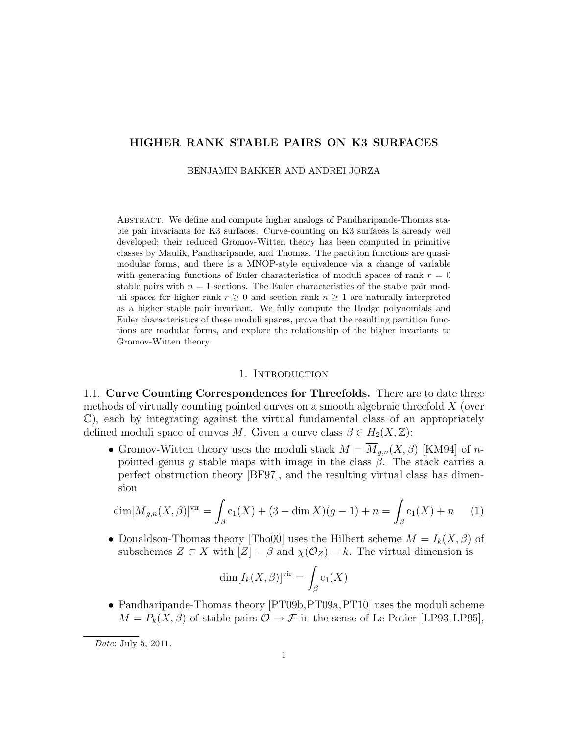## HIGHER RANK STABLE PAIRS ON K3 SURFACES

BENJAMIN BAKKER AND ANDREI JORZA

Abstract. We define and compute higher analogs of Pandharipande-Thomas stable pair invariants for K3 surfaces. Curve-counting on K3 surfaces is already well developed; their reduced Gromov-Witten theory has been computed in primitive classes by Maulik, Pandharipande, and Thomas. The partition functions are quasimodular forms, and there is a MNOP-style equivalence via a change of variable with generating functions of Euler characteristics of moduli spaces of rank  $r = 0$ stable pairs with  $n = 1$  sections. The Euler characteristics of the stable pair moduli spaces for higher rank  $r \geq 0$  and section rank  $n \geq 1$  are naturally interpreted as a higher stable pair invariant. We fully compute the Hodge polynomials and Euler characteristics of these moduli spaces, prove that the resulting partition functions are modular forms, and explore the relationship of the higher invariants to Gromov-Witten theory.

#### 1. INTRODUCTION

1.1. Curve Counting Correspondences for Threefolds. There are to date three methods of virtually counting pointed curves on a smooth algebraic threefold  $X$  (over  $\mathbb{C}$ , each by integrating against the virtual fundamental class of an appropriately defined moduli space of curves M. Given a curve class  $\beta \in H_2(X, \mathbb{Z})$ :

• Gromov-Witten theory uses the moduli stack  $M = \overline{M}_{g,n}(X,\beta)$  [KM94] of npointed genus g stable maps with image in the class  $\beta$ . The stack carries a perfect obstruction theory [BF97], and the resulting virtual class has dimension

$$
\dim[\overline{M}_{g,n}(X,\beta)]^{vir} = \int_{\beta} c_1(X) + (3 - \dim X)(g-1) + n = \int_{\beta} c_1(X) + n \tag{1}
$$

• Donaldson-Thomas theory [Tho00] uses the Hilbert scheme  $M = I_k(X, \beta)$  of subschemes  $Z \subset X$  with  $|Z| = \beta$  and  $\chi(\mathcal{O}_Z) = k$ . The virtual dimension is

$$
\dim[I_k(X,\beta)]^{\text{vir}} = \int_{\beta} c_1(X)
$$

• Pandharipande-Thomas theory [PT09b, PT09a, PT10] uses the moduli scheme  $M = P_k(X, \beta)$  of stable pairs  $\mathcal{O} \rightarrow \mathcal{F}$  in the sense of Le Potier [LP93, LP95],

Date: July 5, 2011.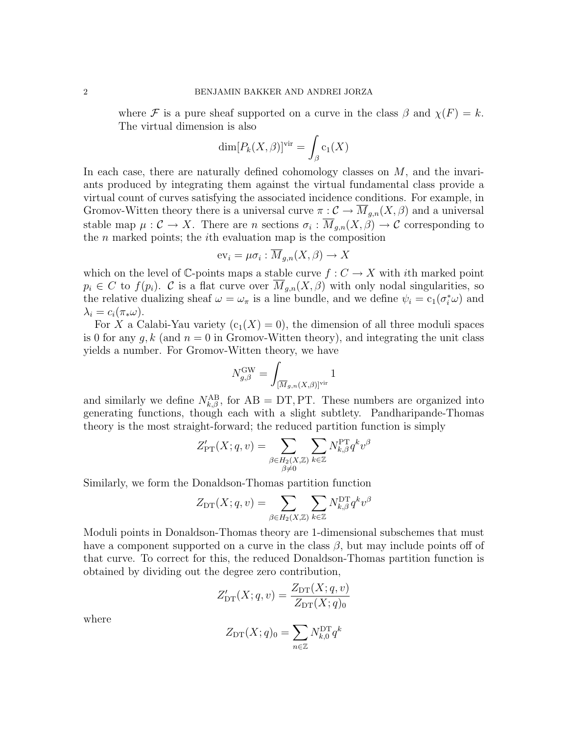where F is a pure sheaf supported on a curve in the class  $\beta$  and  $\chi(F) = k$ . The virtual dimension is also

$$
\dim[P_k(X,\beta)]^{\text{vir}} = \int_{\beta} c_1(X)
$$

In each case, there are naturally defined cohomology classes on  $M$ , and the invariants produced by integrating them against the virtual fundamental class provide a virtual count of curves satisfying the associated incidence conditions. For example, in Gromov-Witten theory there is a universal curve  $\pi: \mathcal{C} \to \overline{M}_{g,n}(X,\beta)$  and a universal stable map  $\mu: \mathcal{C} \to X$ . There are n sections  $\sigma_i: \overline{M}_{g,n}(X,\beta) \to \mathcal{C}$  corresponding to the  $n$  marked points; the *i*th evaluation map is the composition

$$
\mathrm{ev}_i = \mu \sigma_i : \overline{M}_{g,n}(X,\beta) \to X
$$

which on the level of C-points maps a stable curve  $f: C \to X$  with *i*th marked point  $p_i \in C$  to  $f(p_i)$ . C is a flat curve over  $\overline{M}_{q,n}(X,\beta)$  with only nodal singularities, so the relative dualizing sheaf  $\omega = \omega_{\pi}$  is a line bundle, and we define  $\psi_i = c_1(\sigma_i^*\omega)$  and  $\lambda_i = c_i(\pi_* \omega).$ 

For X a Calabi-Yau variety  $(c_1(X) = 0)$ , the dimension of all three moduli spaces is 0 for any  $q, k$  (and  $n = 0$  in Gromov-Witten theory), and integrating the unit class yields a number. For Gromov-Witten theory, we have

$$
N_{g,\beta}^{\text{GW}} = \int_{[\overline{M}_{g,n}(X,\beta)]^{\text{vir}}} 1
$$

and similarly we define  $N_{k,\beta}^{AB}$ , for  $AB = DT, PT$ . These numbers are organized into generating functions, though each with a slight subtlety. Pandharipande-Thomas theory is the most straight-forward; the reduced partition function is simply

$$
Z'_{\mathrm{PT}}(X;q,v) = \sum_{\substack{\beta \in H_2(X,\mathbb{Z}) \\ \beta \neq 0}} \sum_{k \in \mathbb{Z}} N^{\mathrm{PT}}_{k,\beta} q^k v^{\beta}
$$

Similarly, we form the Donaldson-Thomas partition function

$$
Z_{\mathrm{DT}}(X;q,v) = \sum_{\beta \in H_2(X,\mathbb{Z})} \sum_{k \in \mathbb{Z}} N_{k,\beta}^{\mathrm{DT}} q^k v^{\beta}
$$

Moduli points in Donaldson-Thomas theory are 1-dimensional subschemes that must have a component supported on a curve in the class  $\beta$ , but may include points off of that curve. To correct for this, the reduced Donaldson-Thomas partition function is obtained by dividing out the degree zero contribution,

$$
Z'_{\mathrm{DT}}(X;q,v) = \frac{Z_{\mathrm{DT}}(X;q,v)}{Z_{\mathrm{DT}}(X;q)_0}
$$

where

$$
Z_{\mathrm{DT}}(X;q)_0 = \sum_{n \in \mathbb{Z}} N_{k,0}^{\mathrm{DT}} q^k
$$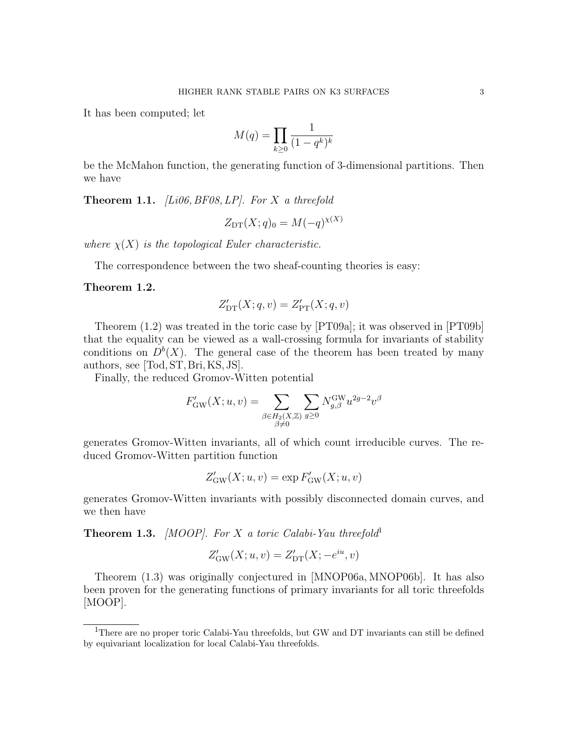It has been computed; let

$$
M(q) = \prod_{k \ge 0} \frac{1}{(1 - q^k)^k}
$$

be the McMahon function, the generating function of 3-dimensional partitions. Then we have

**Theorem 1.1.** *[Li06, BF08, LP]. For*  $X$  a threefold

$$
Z_{\mathrm{DT}}(X;q)_0 = M(-q)^{\chi(X)}
$$

where  $\chi(X)$  is the topological Euler characteristic.

The correspondence between the two sheaf-counting theories is easy:

#### Theorem 1.2.

$$
Z'_{\mathrm{DT}}(X;q,v) = Z'_{\mathrm{PT}}(X;q,v)
$$

Theorem (1.2) was treated in the toric case by [PT09a]; it was observed in [PT09b] that the equality can be viewed as a wall-crossing formula for invariants of stability conditions on  $D^b(X)$ . The general case of the theorem has been treated by many authors, see [Tod, ST, Bri, KS, JS].

Finally, the reduced Gromov-Witten potential

$$
F_{\text{GW}}'(X; u, v) = \sum_{\substack{\beta \in H_2(X, \mathbb{Z}) \\ \beta \neq 0}} \sum_{g \ge 0} N_{g, \beta}^{\text{GW}} u^{2g - 2} v^{\beta}
$$

generates Gromov-Witten invariants, all of which count irreducible curves. The reduced Gromov-Witten partition function

$$
Z'_\mathrm{GW}(X;u,v) = \exp F'_\mathrm{GW}(X;u,v)
$$

generates Gromov-Witten invariants with possibly disconnected domain curves, and we then have

**Theorem 1.3.** [MOOP]. For X a toric Calabi-Yau threefold<sup>1</sup>

$$
Z'_{\text{GW}}(X; u, v) = Z'_{\text{DT}}(X; -e^{iu}, v)
$$

Theorem (1.3) was originally conjectured in [MNOP06a, MNOP06b]. It has also been proven for the generating functions of primary invariants for all toric threefolds [MOOP].

<sup>&</sup>lt;sup>1</sup>There are no proper toric Calabi-Yau threefolds, but GW and DT invariants can still be defined by equivariant localization for local Calabi-Yau threefolds.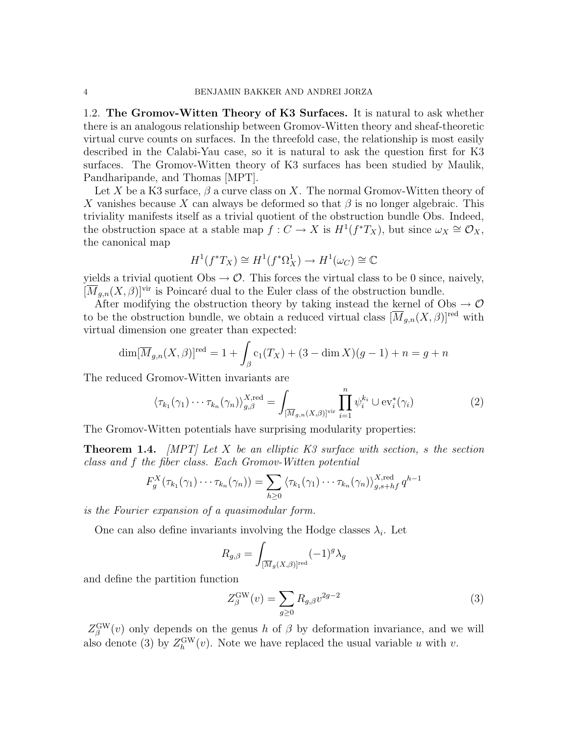1.2. The Gromov-Witten Theory of K3 Surfaces. It is natural to ask whether there is an analogous relationship between Gromov-Witten theory and sheaf-theoretic virtual curve counts on surfaces. In the threefold case, the relationship is most easily described in the Calabi-Yau case, so it is natural to ask the question first for K3 surfaces. The Gromov-Witten theory of K3 surfaces has been studied by Maulik, Pandharipande, and Thomas [MPT].

Let X be a K3 surface,  $\beta$  a curve class on X. The normal Gromov-Witten theory of X vanishes because X can always be deformed so that  $\beta$  is no longer algebraic. This triviality manifests itself as a trivial quotient of the obstruction bundle Obs. Indeed, the obstruction space at a stable map  $f: C \to X$  is  $H^1(f^*T_X)$ , but since  $\omega_X \cong \mathcal{O}_X$ , the canonical map

$$
H^1(f^*T_X)\cong H^1(f^*\Omega^1_X)\to H^1(\omega_C)\cong\mathbb{C}
$$

yields a trivial quotient  $\text{Obs} \rightarrow \mathcal{O}$ . This forces the virtual class to be 0 since, naively,  $[\overline{M}_{q,n}(X,\beta)]^{\text{vir}}$  is Poincaré dual to the Euler class of the obstruction bundle.

After modifying the obstruction theory by taking instead the kernel of Obs  $\rightarrow \mathcal{O}$ to be the obstruction bundle, we obtain a reduced virtual class  $[\overline{M}_{g,n}(X,\beta)]^{\text{red}}$  with virtual dimension one greater than expected:

$$
\dim[\overline{M}_{g,n}(X,\beta)]^{\text{red}} = 1 + \int_{\beta} c_1(T_X) + (3 - \dim X)(g - 1) + n = g + n
$$

The reduced Gromov-Witten invariants are

$$
\langle \tau_{k_1}(\gamma_1) \cdots \tau_{k_n}(\gamma_n) \rangle_{g,\beta}^{X,\text{red}} = \int_{[\overline{M}_{g,n}(X,\beta)]^{\text{vir}}} \prod_{i=1}^n \psi_i^{k_i} \cup \text{ev}_i^*(\gamma_i)
$$
(2)

The Gromov-Witten potentials have surprising modularity properties:

**Theorem 1.4.** [MPT] Let X be an elliptic K3 surface with section, s the section class and f the fiber class. Each Gromov-Witten potential

$$
F_g^X(\tau_{k_1}(\gamma_1)\cdots\tau_{k_n}(\gamma_n))=\sum_{h\geq 0}\langle\tau_{k_1}(\gamma_1)\cdots\tau_{k_n}(\gamma_n)\rangle_{g,s+h}^{X,\text{red}}q^{h-1}
$$

is the Fourier expansion of a quasimodular form.

One can also define invariants involving the Hodge classes  $\lambda_i$ . Let

$$
R_{g,\beta} = \int_{[\overline{M}_g(X,\beta)]^{\text{red}}} (-1)^g \lambda_g
$$

and define the partition function

$$
Z_{\beta}^{\text{GW}}(v) = \sum_{g \ge 0} R_{g,\beta} v^{2g-2}
$$
 (3)

 $Z_{\beta}^{\text{GW}}(v)$  only depends on the genus h of  $\beta$  by deformation invariance, and we will also denote (3) by  $Z_h^{\text{GW}}(v)$ . Note we have replaced the usual variable u with v.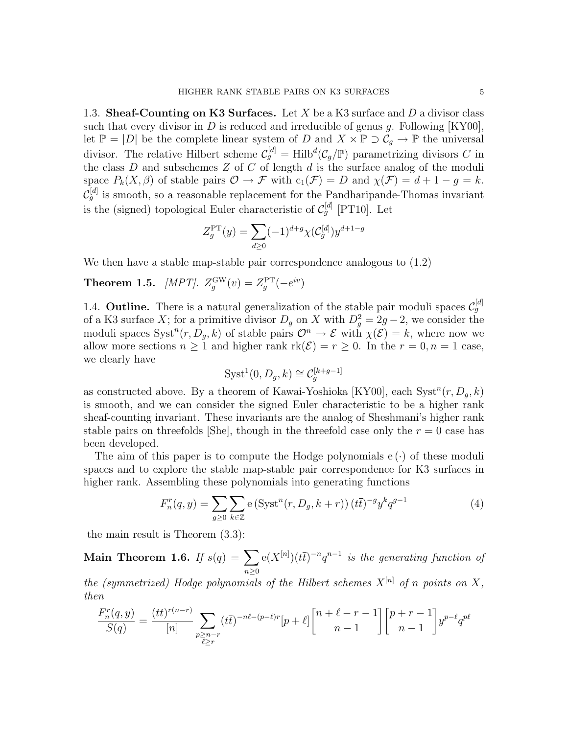1.3. Sheaf-Counting on K3 Surfaces. Let X be a K3 surface and  $D$  a divisor class such that every divisor in D is reduced and irreducible of genus g. Following  $[KY00]$ , let  $\mathbb{P} = |D|$  be the complete linear system of D and  $X \times \mathbb{P} \supset C_g \to \mathbb{P}$  the universal divisor. The relative Hilbert scheme  $\mathcal{C}_g^{[d]} = Hilb^d(\mathcal{C}_g/\mathbb{P})$  parametrizing divisors C in the class  $D$  and subschemes  $Z$  of  $C$  of length  $d$  is the surface analog of the moduli space  $P_k(X, \beta)$  of stable pairs  $\mathcal{O} \to \mathcal{F}$  with  $c_1(\mathcal{F}) = D$  and  $\chi(\mathcal{F}) = d + 1 - g = k$ .  $\mathcal{C}_g^{[d]}$  is smooth, so a reasonable replacement for the Pandharipande-Thomas invariant is the (signed) topological Euler characteristic of  $\mathcal{C}_g^{[d]}$  [PT10]. Let

$$
Z_g^{\rm PT}(y) = \sum_{d \ge 0} (-1)^{d+g} \chi(C_g^{[d]}) y^{d+1-g}
$$

We then have a stable map-stable pair correspondence analogous to (1.2)

**Theorem 1.5.** [MPT].  $Z_g^{\text{GW}}(v) = Z_g^{\text{PT}}(-e^{iv})$ 

1.4. **Outline.** There is a natural generalization of the stable pair moduli spaces  $\mathcal{C}_g^{[d]}$ of a K3 surface X; for a primitive divisor  $D_g$  on X with  $D_g^2 = 2g - 2$ , we consider the moduli spaces  $Syst^n(r, D_g, k)$  of stable pairs  $\mathcal{O}^n \to \mathcal{E}$  with  $\chi(\mathcal{E}) = k$ , where now we allow more sections  $n \geq 1$  and higher rank  $rk(\mathcal{E}) = r \geq 0$ . In the  $r = 0, n = 1$  case, we clearly have

$$
Syst^1(0, D_g, k) \cong \mathcal{C}_g^{[k+g-1]}
$$

as constructed above. By a theorem of Kawai-Yoshioka [KY00], each  $Syst^{n}(r, D_g, k)$ is smooth, and we can consider the signed Euler characteristic to be a higher rank sheaf-counting invariant. These invariants are the analog of Sheshmani's higher rank stable pairs on threefolds  $\text{[She]}$ , though in the threefold case only the  $r = 0$  case has been developed.

The aim of this paper is to compute the Hodge polynomials  $e(\cdot)$  of these moduli spaces and to explore the stable map-stable pair correspondence for K3 surfaces in higher rank. Assembling these polynomials into generating functions

$$
F_n^r(q, y) = \sum_{g \ge 0} \sum_{k \in \mathbb{Z}} \mathbf{e} \left( \text{Syst}^n(r, D_g, k+r) \right) (t\overline{t})^{-g} y^k q^{g-1}
$$
(4)

the main result is Theorem (3.3):

Main Theorem 1.6. If  $s(q) = \sum$  $n\geq 0$  $e(X^{[n]})(t\bar t)^{-n}q^{n-1}$  is the generating function of

the (symmetrized) Hodge polynomials of the Hilbert schemes  $X^{[n]}$  of n points on X, then

$$
\frac{F_n^r(q, y)}{S(q)} = \frac{(t\bar{t})^{r(n-r)}}{[n]} \sum_{\substack{p \ge n-r \\ \bar{\ell} \ge r}} (t\bar{t})^{-n\ell - (p-\ell)r} [p+\ell] \binom{n+\ell-r-1}{n-1} \binom{p+r-1}{n-1} y^{p-\ell} q^{p\ell}
$$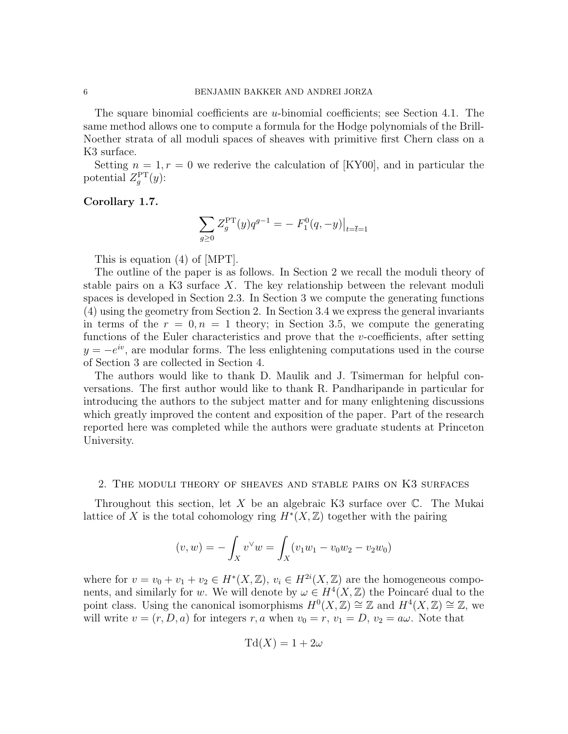The square binomial coefficients are u-binomial coefficients; see Section 4.1. The same method allows one to compute a formula for the Hodge polynomials of the Brill-Noether strata of all moduli spaces of sheaves with primitive first Chern class on a K3 surface.

Setting  $n = 1, r = 0$  we rederive the calculation of [KY00], and in particular the potential  $Z_g^{\rm PT}(y)$ :

#### Corollary 1.7.

$$
\sum_{g\geq 0} Z_g^{\rm PT}(y) q^{g-1} = - F_1^0(q, -y) \big|_{t = \bar{t} = 1}
$$

This is equation (4) of [MPT].

The outline of the paper is as follows. In Section 2 we recall the moduli theory of stable pairs on a K3 surface  $X$ . The key relationship between the relevant moduli spaces is developed in Section 2.3. In Section 3 we compute the generating functions (4) using the geometry from Section 2. In Section 3.4 we express the general invariants in terms of the  $r = 0, n = 1$  theory; in Section 3.5, we compute the generating functions of the Euler characteristics and prove that the v-coefficients, after setting  $y = -e^{iv}$ , are modular forms. The less enlightening computations used in the course of Section 3 are collected in Section 4.

The authors would like to thank D. Maulik and J. Tsimerman for helpful conversations. The first author would like to thank R. Pandharipande in particular for introducing the authors to the subject matter and for many enlightening discussions which greatly improved the content and exposition of the paper. Part of the research reported here was completed while the authors were graduate students at Princeton University.

#### 2. The moduli theory of sheaves and stable pairs on K3 surfaces

Throughout this section, let  $X$  be an algebraic K3 surface over  $\mathbb{C}$ . The Mukai lattice of X is the total cohomology ring  $H^*(X,\mathbb{Z})$  together with the pairing

$$
(v, w) = -\int_X v^\vee w = \int_X (v_1 w_1 - v_0 w_2 - v_2 w_0)
$$

where for  $v = v_0 + v_1 + v_2 \in H^*(X, \mathbb{Z}), v_i \in H^{2i}(X, \mathbb{Z})$  are the homogeneous components, and similarly for w. We will denote by  $\omega \in H^4(X,\mathbb{Z})$  the Poincaré dual to the point class. Using the canonical isomorphisms  $H^0(X,\mathbb{Z}) \cong \mathbb{Z}$  and  $H^4(X,\mathbb{Z}) \cong \mathbb{Z}$ , we will write  $v = (r, D, a)$  for integers r, a when  $v_0 = r$ ,  $v_1 = D$ ,  $v_2 = a\omega$ . Note that

$$
\mathrm{Td}(X) = 1 + 2\omega
$$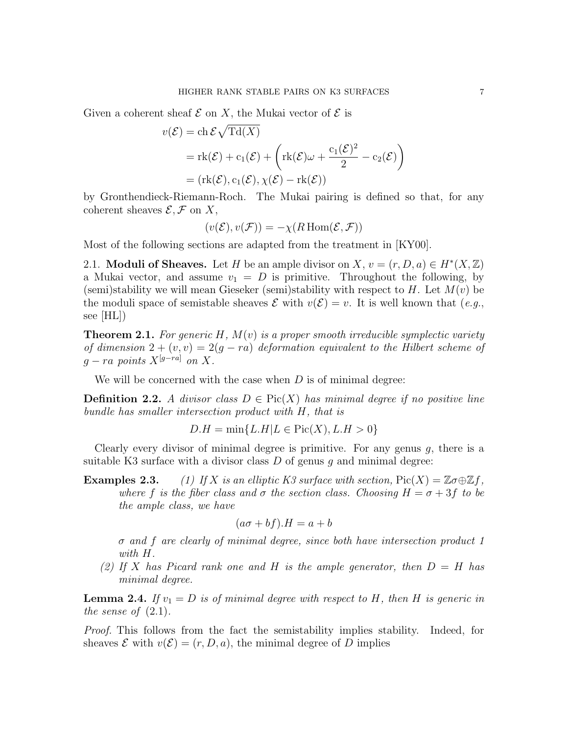Given a coherent sheaf  $\mathcal E$  on X, the Mukai vector of  $\mathcal E$  is

$$
v(\mathcal{E}) = ch \mathcal{E} \sqrt{\mathrm{Td}(X)}
$$
  
=  $\mathrm{rk}(\mathcal{E}) + c_1(\mathcal{E}) + \left(\mathrm{rk}(\mathcal{E})\omega + \frac{c_1(\mathcal{E})^2}{2} - c_2(\mathcal{E})\right)$   
=  $(\mathrm{rk}(\mathcal{E}), c_1(\mathcal{E}), \chi(\mathcal{E}) - \mathrm{rk}(\mathcal{E}))$ 

by Gronthendieck-Riemann-Roch. The Mukai pairing is defined so that, for any coherent sheaves  $\mathcal{E}, \mathcal{F}$  on X,

$$
(v(\mathcal{E}), v(\mathcal{F})) = -\chi(R\operatorname{Hom}(\mathcal{E}, \mathcal{F}))
$$

Most of the following sections are adapted from the treatment in [KY00].

2.1. **Moduli of Sheaves.** Let H be an ample divisor on X,  $v = (r, D, a) \in H^*(X, \mathbb{Z})$ a Mukai vector, and assume  $v_1 = D$  is primitive. Throughout the following, by (semi)stability we will mean Gieseker (semi)stability with respect to H. Let  $M(v)$  be the moduli space of semistable sheaves  $\mathcal E$  with  $v(\mathcal E)=v$ . It is well known that  $(e.g.,$ see [HL])

**Theorem 2.1.** For generic H,  $M(v)$  is a proper smooth irreducible symplectic variety of dimension  $2 + (v, v) = 2(g - ra)$  deformation equivalent to the Hilbert scheme of  $q-ra$  points  $X^{[g-ra]}$  on X.

We will be concerned with the case when  $D$  is of minimal degree:

**Definition 2.2.** A divisor class  $D \in Pic(X)$  has minimal degree if no positive line bundle has smaller intersection product with H, that is

$$
D.H = \min\{L.H|L \in \text{Pic}(X), L.H > 0\}
$$

Clearly every divisor of minimal degree is primitive. For any genus  $g$ , there is a suitable K3 surface with a divisor class  $D$  of genus q and minimal degree:

**Examples 2.3.** (1) If X is an elliptic K3 surface with section,  $Pic(X) = \mathbb{Z} \sigma \oplus \mathbb{Z} f$ , where f is the fiber class and  $\sigma$  the section class. Choosing  $H = \sigma + 3f$  to be the ample class, we have

$$
(a\sigma + bf).H = a + b
$$

σ and f are clearly of minimal degree, since both have intersection product 1 with H.

(2) If X has Picard rank one and H is the ample generator, then  $D = H$  has minimal degree.

**Lemma 2.4.** If  $v_1 = D$  is of minimal degree with respect to H, then H is generic in the sense of  $(2.1)$ .

Proof. This follows from the fact the semistability implies stability. Indeed, for sheaves  $\mathcal E$  with  $v(\mathcal E) = (r, D, a)$ , the minimal degree of D implies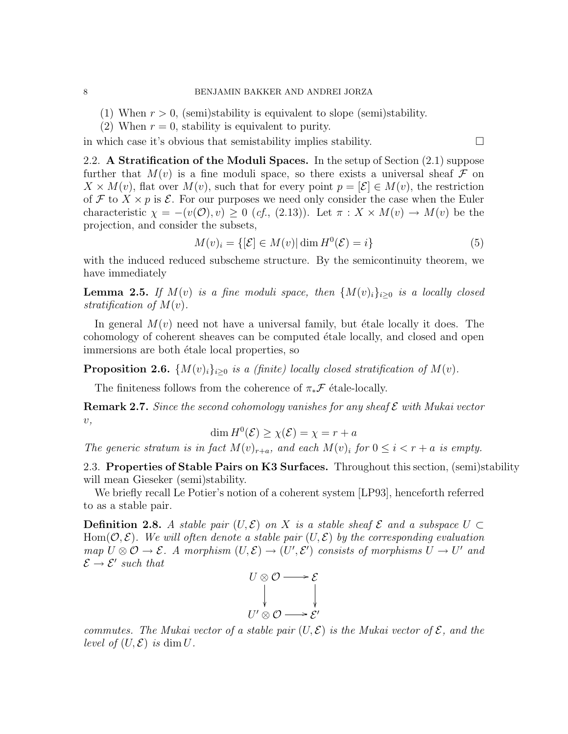- (1) When  $r > 0$ , (semi)stability is equivalent to slope (semi)stability.
- (2) When  $r = 0$ , stability is equivalent to purity.

in which case it's obvious that semistability implies stability.  $\Box$ 

2.2. A Stratification of the Moduli Spaces. In the setup of Section (2.1) suppose further that  $M(v)$  is a fine moduli space, so there exists a universal sheaf  $\mathcal F$  on  $X \times M(v)$ , flat over  $M(v)$ , such that for every point  $p = \mathcal{E} \in M(v)$ , the restriction of F to  $X \times p$  is E. For our purposes we need only consider the case when the Euler characteristic  $\chi = -(v(\mathcal{O}), v) \geq 0$  (cf., (2.13)). Let  $\pi : X \times M(v) \to M(v)$  be the projection, and consider the subsets,

$$
M(v)_i = \{ [\mathcal{E}] \in M(v) | \dim H^0(\mathcal{E}) = i \}
$$
\n
$$
(5)
$$

with the induced reduced subscheme structure. By the semicontinuity theorem, we have immediately

**Lemma 2.5.** If  $M(v)$  is a fine moduli space, then  ${M(v)_i}_{i>0}$  is a locally closed stratification of  $M(v)$ .

In general  $M(v)$  need not have a universal family, but étale locally it does. The cohomology of coherent sheaves can be computed ´etale locally, and closed and open immersions are both étale local properties, so

**Proposition 2.6.**  $\{M(v)_i\}_{i\geq0}$  is a (finite) locally closed stratification of  $M(v)$ .

The finiteness follows from the coherence of  $\pi_*\mathcal{F}$  étale-locally.

**Remark 2.7.** Since the second cohomology vanishes for any sheaf  $\mathcal E$  with Mukai vector  $v,$ 

$$
\dim H^0(\mathcal{E}) \ge \chi(\mathcal{E}) = \chi = r + a
$$

The generic stratum is in fact  $M(v)_{r+a}$ , and each  $M(v)_i$  for  $0 \leq i < r+a$  is empty.

2.3. Properties of Stable Pairs on K3 Surfaces. Throughout this section, (semi)stability will mean Gieseker (semi)stability.

We briefly recall Le Potier's notion of a coherent system [LP93], henceforth referred to as a stable pair.

**Definition 2.8.** A stable pair  $(U, \mathcal{E})$  on X is a stable sheaf  $\mathcal{E}$  and a subspace  $U \subset$  $\text{Hom}(\mathcal{O}, \mathcal{E})$ . We will often denote a stable pair  $(U, \mathcal{E})$  by the corresponding evaluation map  $U \otimes \mathcal{O} \to \mathcal{E}$ . A morphism  $(U, \mathcal{E}) \to (U', \mathcal{E}')$  consists of morphisms  $U \to U'$  and  $\mathcal{E} \to \mathcal{E}'$  such that



commutes. The Mukai vector of a stable pair  $(U, \mathcal{E})$  is the Mukai vector of  $\mathcal{E}$ , and the level of  $(U, \mathcal{E})$  is dim U.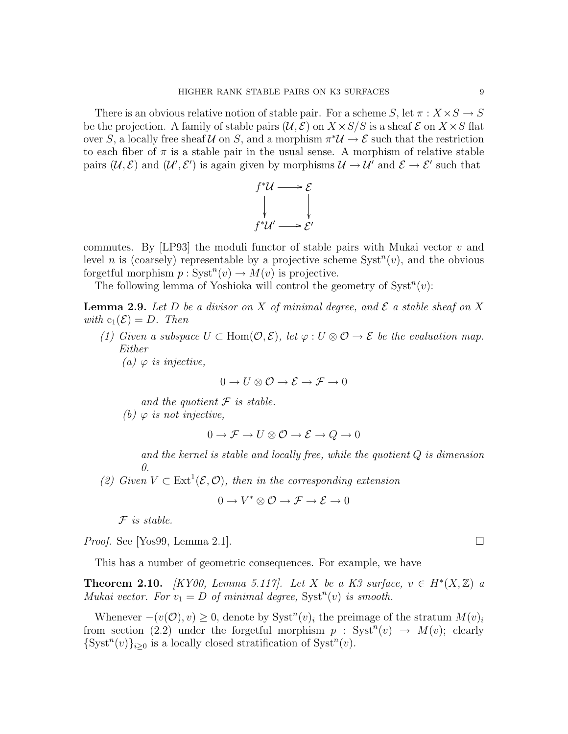There is an obvious relative notion of stable pair. For a scheme S, let  $\pi : X \times S \to S$ be the projection. A family of stable pairs  $(\mathcal{U}, \mathcal{E})$  on  $X \times S/S$  is a sheaf  $\mathcal{E}$  on  $X \times S$  flat over S, a locally free sheaf U on S, and a morphism  $\pi^*U \to \mathcal{E}$  such that the restriction to each fiber of  $\pi$  is a stable pair in the usual sense. A morphism of relative stable pairs  $(\mathcal{U}, \mathcal{E})$  and  $(\mathcal{U}', \mathcal{E}')$  is again given by morphisms  $\mathcal{U} \to \mathcal{U}'$  and  $\mathcal{E} \to \mathcal{E}'$  such that



commutes. By [LP93] the moduli functor of stable pairs with Mukai vector  $v$  and level *n* is (coarsely) representable by a projective scheme  $Syst^{n}(v)$ , and the obvious forgetful morphism  $p: Syst^n(v) \to M(v)$  is projective.

The following lemma of Yoshioka will control the geometry of  $Syst<sup>n</sup>(v)$ :

**Lemma 2.9.** Let D be a divisor on X of minimal degree, and  $\mathcal{E}$  a stable sheaf on X with  $c_1(\mathcal{E}) = D$ . Then

(1) Given a subspace  $U \subset Hom(\mathcal{O}, \mathcal{E})$ , let  $\varphi : U \otimes \mathcal{O} \to \mathcal{E}$  be the evaluation map. Either

(a)  $\varphi$  is injective,

$$
0 \to U \otimes \mathcal{O} \to \mathcal{E} \to \mathcal{F} \to 0
$$

and the quotient  $\mathcal F$  is stable.

(b)  $\varphi$  is not injective,

$$
0 \to \mathcal{F} \to U \otimes \mathcal{O} \to \mathcal{E} \to Q \to 0
$$

and the kernel is stable and locally free, while the quotient Q is dimension  $\theta$ 

(2) Given  $V \subset \text{Ext}^1(\mathcal{E}, \mathcal{O})$ , then in the corresponding extension

$$
0 \to V^* \otimes \mathcal{O} \to \mathcal{F} \to \mathcal{E} \to 0
$$

 $F$  is stable.

*Proof.* See [Yos99, Lemma 2.1].

This has a number of geometric consequences. For example, we have

**Theorem 2.10.** [KY00, Lemma 5.117]. Let X be a K3 surface,  $v \in H^*(X,\mathbb{Z})$  a Mukai vector. For  $v_1 = D$  of minimal degree,  $Syst^n(v)$  is smooth.

Whenever  $-(v(\mathcal{O}), v) \geq 0$ , denote by Syst<sup>n</sup> $(v)_i$  the preimage of the stratum  $M(v)_i$ from section (2.2) under the forgetful morphism  $p : Syst^{n}(v) \rightarrow M(v)$ ; clearly  $\{Syst^n(v)\}_{i\geq 0}$  is a locally closed stratification of  $Syst^n(v)$ .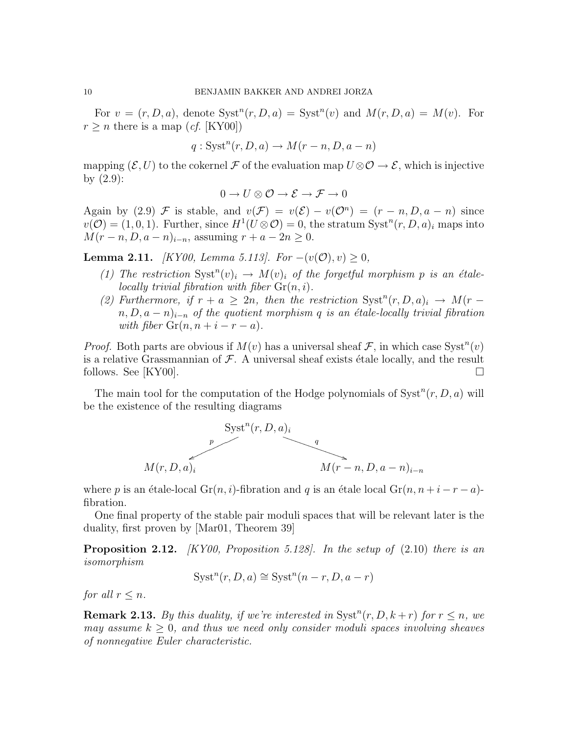For  $v = (r, D, a)$ , denote  $Syst^n(r, D, a) = Syst^n(v)$  and  $M(r, D, a) = M(v)$ . For  $r \geq n$  there is a map (*cf.* [KY00])

$$
q: \operatorname{Syst}^n(r, D, a) \to M(r - n, D, a - n)
$$

mapping  $(\mathcal{E}, U)$  to the cokernel F of the evaluation map  $U \otimes \mathcal{O} \to \mathcal{E}$ , which is injective by  $(2.9)$ :

$$
0 \to U \otimes \mathcal{O} \to \mathcal{E} \to \mathcal{F} \to 0
$$

Again by (2.9) F is stable, and  $v(\mathcal{F}) = v(\mathcal{E}) - v(\mathcal{O}^n) = (r - n, D, a - n)$  since  $v(\mathcal{O}) = (1, 0, 1)$ . Further, since  $H^1(U \otimes \mathcal{O}) = 0$ , the stratum  $Syst^n(r, D, a)_i$  maps into  $M(r - n, D, a - n)_{i-n}$ , assuming  $r + a - 2n \geq 0$ .

**Lemma 2.11.** [KY00, Lemma 5.113]. For  $-(v(\mathcal{O}), v) \geq 0$ ,

- (1) The restriction  $Syst^n(v)_i \rightarrow M(v)_i$  of the forgetful morphism p is an étalelocally trivial fibration with fiber  $\mathrm{Gr}(n, i)$ .
- (2) Furthermore, if  $r + a \geq 2n$ , then the restriction  $Syst^{n}(r, D, a)_{i} \rightarrow M(r a)$  $n, D, a - n$ <sub>i−n</sub> of the quotient morphism q is an étale-locally trivial fibration with fiber  $\operatorname{Gr}(n, n + i - r - a)$ .

*Proof.* Both parts are obvious if  $M(v)$  has a universal sheaf  $\mathcal{F}$ , in which case Syst<sup>n</sup> $(v)$ is a relative Grassmannian of  $\mathcal F$ . A universal sheaf exists étale locally, and the result follows. See [KY00].  $\square$ 

The main tool for the computation of the Hodge polynomials of  $Syst<sup>n</sup>(r, D, a)$  will be the existence of the resulting diagrams



where p is an étale-local Gr(n, i)-fibration and q is an étale local Gr(n,  $n + i - r - a$ )fibration.

One final property of the stable pair moduli spaces that will be relevant later is the duality, first proven by [Mar01, Theorem 39]

**Proposition 2.12.** [KY00, Proposition 5.128]. In the setup of  $(2.10)$  there is an isomorphism

$$
Systn(r, D, a) \cong Systn(n - r, D, a - r)
$$

for all  $r < n$ .

**Remark 2.13.** By this duality, if we're interested in  $Syst^{n}(r, D, k+r)$  for  $r \leq n$ , we may assume  $k \geq 0$ , and thus we need only consider moduli spaces involving sheaves of nonnegative Euler characteristic.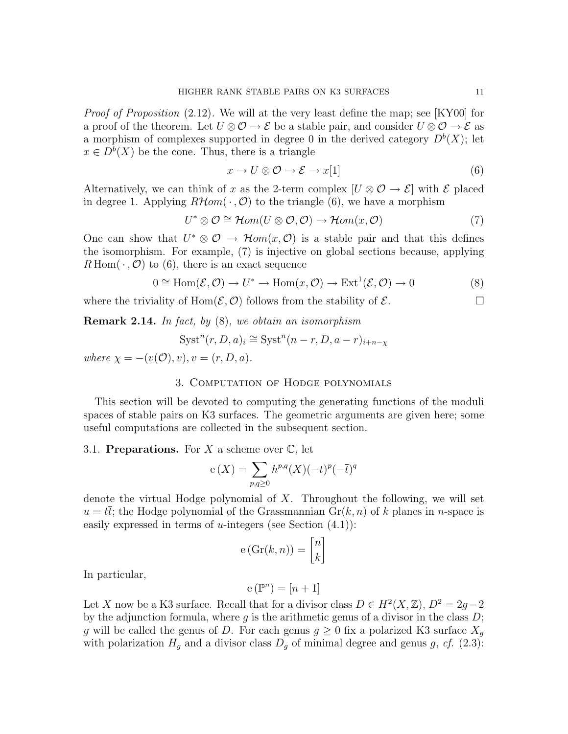*Proof of Proposition*  $(2.12)$ . We will at the very least define the map; see [KY00] for a proof of the theorem. Let  $U \otimes \mathcal{O} \to \mathcal{E}$  be a stable pair, and consider  $U \otimes \mathcal{O} \to \mathcal{E}$  as a morphism of complexes supported in degree 0 in the derived category  $D^b(X)$ ; let  $x \in D^b(X)$  be the cone. Thus, there is a triangle

$$
x \to U \otimes \mathcal{O} \to \mathcal{E} \to x[1] \tag{6}
$$

Alternatively, we can think of x as the 2-term complex  $[U \otimes \mathcal{O} \to \mathcal{E}]$  with  $\mathcal E$  placed in degree 1. Applying  $R\mathcal{H}om(\cdot,\mathcal{O})$  to the triangle (6), we have a morphism

$$
U^* \otimes \mathcal{O} \cong \mathcal{H}om(U \otimes \mathcal{O}, \mathcal{O}) \to \mathcal{H}om(x, \mathcal{O})
$$
 (7)

One can show that  $U^* \otimes \mathcal{O} \to \mathcal{H}om(x, \mathcal{O})$  is a stable pair and that this defines the isomorphism. For example, (7) is injective on global sections because, applying  $R \text{Hom}(\cdot, \mathcal{O})$  to (6), there is an exact sequence

$$
0 \cong \text{Hom}(\mathcal{E}, \mathcal{O}) \to U^* \to \text{Hom}(x, \mathcal{O}) \to \text{Ext}^1(\mathcal{E}, \mathcal{O}) \to 0
$$
 (8)

where the triviality of Hom $(\mathcal{E}, \mathcal{O})$  follows from the stability of  $\mathcal{E}$ .

Remark 2.14. In fact, by (8), we obtain an isomorphism

$$
Syst^{n}(r, D, a)_{i} \cong Syst^{n}(n-r, D, a-r)_{i+n-\chi}
$$

where  $\chi = -(v(\mathcal{O}), v), v = (r, D, a).$ 

## 3. Computation of Hodge polynomials

This section will be devoted to computing the generating functions of the moduli spaces of stable pairs on K3 surfaces. The geometric arguments are given here; some useful computations are collected in the subsequent section.

## 3.1. Preparations. For X a scheme over  $\mathbb{C}$ , let

$$
e(X) = \sum_{p,q \ge 0} h^{p,q}(X)(-t)^p(-\overline{t})^q
$$

denote the virtual Hodge polynomial of X. Throughout the following, we will set  $u = t\bar{t}$ ; the Hodge polynomial of the Grassmannian  $\text{Gr}(k, n)$  of k planes in n-space is easily expressed in terms of  $u$ -integers (see Section  $(4.1)$ ):

$$
e\left(\mathrm{Gr}(k,n)\right) = \begin{bmatrix} n \\ k \end{bmatrix}
$$

In particular,

$$
e(\mathbb{P}^n)=[n+1]
$$

Let X now be a K3 surface. Recall that for a divisor class  $D \in H^2(X, \mathbb{Z})$ ,  $D^2 = 2g - 2$ by the adjunction formula, where q is the arithmetic genus of a divisor in the class  $D$ ; g will be called the genus of D. For each genus  $g \geq 0$  fix a polarized K3 surface  $X_g$ with polarization  $H<sub>q</sub>$  and a divisor class  $D<sub>q</sub>$  of minimal degree and genus g, cf. (2.3):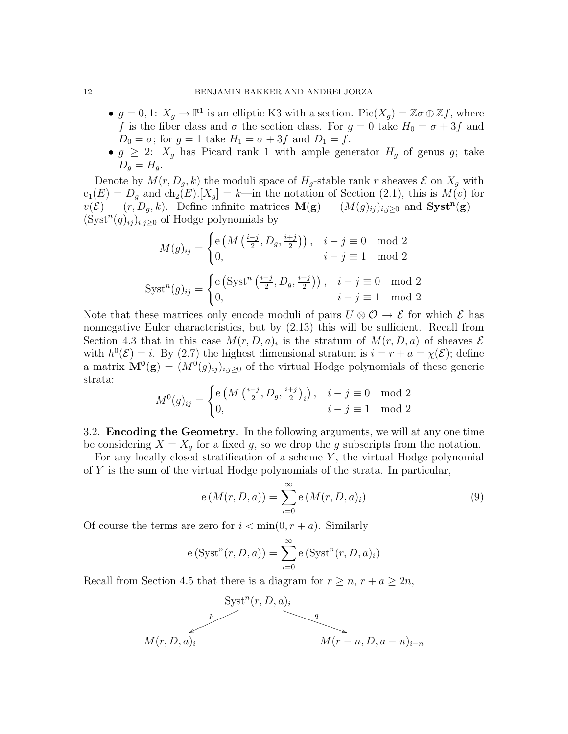- $g = 0, 1$ :  $X_g \to \mathbb{P}^1$  is an elliptic K3 with a section.  $Pic(X_g) = \mathbb{Z}\sigma \oplus \mathbb{Z}f$ , where f is the fiber class and  $\sigma$  the section class. For  $g = 0$  take  $H_0 = \sigma + 3f$  and  $D_0 = \sigma$ ; for  $g = 1$  take  $H_1 = \sigma + 3f$  and  $D_1 = f$ .
- $g \geq 2$ :  $X_g$  has Picard rank 1 with ample generator  $H_g$  of genus g; take  $D_q = H_q$ .

Denote by  $M(r, D_g, k)$  the moduli space of  $H_g$ -stable rank r sheaves  $\mathcal E$  on  $X_g$  with  $c_1(E) = D_q$  and  $ch_2(E)$ .  $[X_q] = k$ —in the notation of Section (2.1), this is  $M(v)$  for  $v(\mathcal{E}) = (r, D_g, k)$ . Define infinite matrices  $\mathbf{M}(\mathbf{g}) = (M(g)_{ij})_{i,j \geq 0}$  and  $\mathbf{Syst}^{\mathbf{n}}(\mathbf{g}) =$  $(\text{Syst}^n(g)_{ij})_{i,j\geq 0}$  of Hodge polynomials by

$$
M(g)_{ij} = \begin{cases} e\left(M\left(\frac{i-j}{2}, D_g, \frac{i+j}{2}\right)\right), & i-j \equiv 0 \mod 2\\ 0, & i-j \equiv 1 \mod 2 \end{cases}
$$
  
 
$$
Syst^{n}(g)_{ij} = \begin{cases} e\left(Syst^{n}\left(\frac{i-j}{2}, D_g, \frac{i+j}{2}\right)\right), & i-j \equiv 0 \mod 2\\ 0, & i-j \equiv 1 \mod 2 \end{cases}
$$

Note that these matrices only encode moduli of pairs  $U \otimes \mathcal{O} \rightarrow \mathcal{E}$  for which  $\mathcal{E}$  has nonnegative Euler characteristics, but by  $(2.13)$  this will be sufficient. Recall from Section 4.3 that in this case  $M(r, D, a)_i$  is the stratum of  $M(r, D, a)$  of sheaves  $\mathcal E$ with  $h^0(\mathcal{E}) = i$ . By (2.7) the highest dimensional stratum is  $i = r + a = \chi(\mathcal{E})$ ; define a matrix  $\mathbf{M}^{\mathbf{0}}(\mathbf{g}) = (M^0(g)_{ij})_{i,j\geq 0}$  of the virtual Hodge polynomials of these generic strata:

$$
M^{0}(g)_{ij} = \begin{cases} e\left(M\left(\frac{i-j}{2}, D_{g}, \frac{i+j}{2}\right)_{i}\right), & i - j \equiv 0 \mod 2\\ 0, & i - j \equiv 1 \mod 2 \end{cases}
$$

3.2. Encoding the Geometry. In the following arguments, we will at any one time be considering  $X = X_q$  for a fixed g, so we drop the g subscripts from the notation.

For any locally closed stratification of a scheme  $Y$ , the virtual Hodge polynomial of Y is the sum of the virtual Hodge polynomials of the strata. In particular,

$$
e(M(r, D, a)) = \sum_{i=0}^{\infty} e(M(r, D, a)_i)
$$
 (9)

Of course the terms are zero for  $i < \min(0, r + a)$ . Similarly

$$
e(Systn(r, D, a)) = \sum_{i=0}^{\infty} e(Systn(r, D, a)_i)
$$

Recall from Section 4.5 that there is a diagram for  $r \geq n$ ,  $r + a \geq 2n$ ,

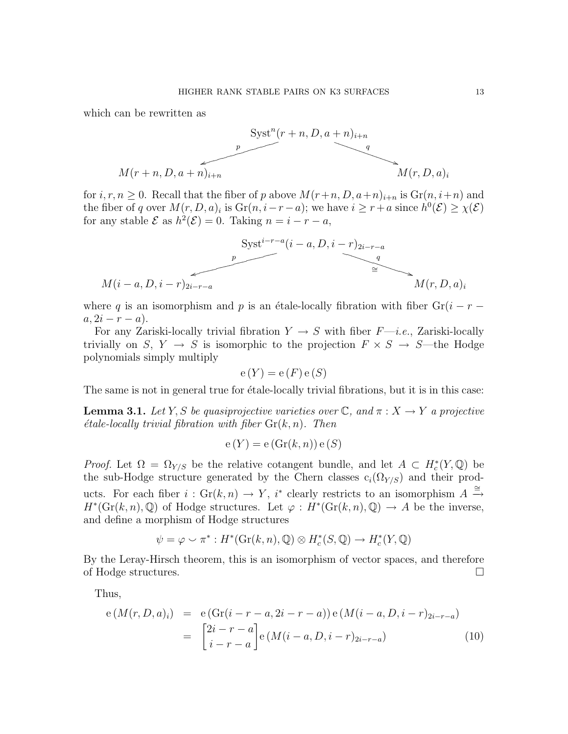which can be rewritten as



for  $i, r, n \geq 0$ . Recall that the fiber of p above  $M(r+n, D, a+n)_{i+n}$  is  $\text{Gr}(n, i+n)$  and the fiber of q over  $M(r, D, a)_i$  is  $\text{Gr}(n, i-r-a)$ ; we have  $i \geq r+a$  since  $h^0(\mathcal{E}) \geq \chi(\mathcal{E})$ for any stable  $\mathcal E$  as  $h^2(\mathcal E)=0$ . Taking  $n=i-r-a$ ,

$$
Syst^{i-r-a}(i-a, D, i-r)_{2i-r-a}
$$
\n
$$
M(i-a, D, i-r)_{2i-r-a}
$$
\n
$$
M(r, D, a)_i
$$

where q is an isomorphism and p is an étale-locally fibration with fiber  $Gr(i - r - )$  $a, 2i - r - a$ ).

For any Zariski-locally trivial fibration  $Y \rightarrow S$  with fiber  $F$ —*i.e.*, Zariski-locally trivially on S,  $Y \rightarrow S$  is isomorphic to the projection  $F \times S \rightarrow S$ —the Hodge polynomials simply multiply

$$
e(Y) = e(F) e(S)
$$

The same is not in general true for étale-locally trivial fibrations, but it is in this case:

**Lemma 3.1.** Let Y, S be quasiprojective varieties over  $\mathbb{C}$ , and  $\pi : X \to Y$  a projective  $\acute{e}tale-locally trivial fibration with fiber Gr(k, n). Then$ 

$$
e(Y) = e(\operatorname{Gr}(k, n)) e(S)
$$

*Proof.* Let  $\Omega = \Omega_{Y/S}$  be the relative cotangent bundle, and let  $A \subset H_c^*(Y, \mathbb{Q})$  be the sub-Hodge structure generated by the Chern classes  $c_i(\Omega_{Y/S})$  and their products. For each fiber  $i : \text{Gr}(k, n) \to Y$ ,  $i^*$  clearly restricts to an isomorphism  $A \stackrel{\cong}{\to} \mathbb{R}$  $H^*(\mathrm{Gr}(k,n),\mathbb{Q})$  of Hodge structures. Let  $\varphi : H^*(\mathrm{Gr}(k,n),\mathbb{Q}) \to A$  be the inverse, and define a morphism of Hodge structures

$$
\psi = \varphi \smile \pi^* : H^*(\mathrm{Gr}(k, n), \mathbb{Q}) \otimes H^*_c(S, \mathbb{Q}) \to H^*_c(Y, \mathbb{Q})
$$

By the Leray-Hirsch theorem, this is an isomorphism of vector spaces, and therefore of Hodge structures.

Thus,

$$
e(M(r, D, a)_i) = e(Gr(i - r - a, 2i - r - a)) e(M(i - a, D, i - r)_{2i - r - a})
$$
  

$$
= \begin{bmatrix} 2i - r - a \\ i - r - a \end{bmatrix} e(M(i - a, D, i - r)_{2i - r - a})
$$
(10)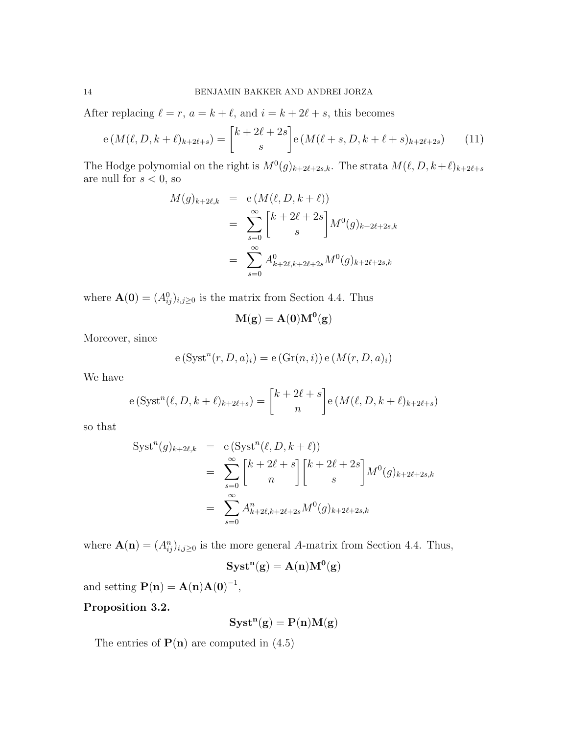After replacing  $\ell = r, a = k + \ell$ , and  $i = k + 2\ell + s$ , this becomes

$$
e(M(\ell, D, k+\ell)_{k+2\ell+s}) = {k+2\ell+2s \brack s} e(M(\ell+s, D, k+\ell+s)_{k+2\ell+2s}) \qquad (11)
$$

The Hodge polynomial on the right is  $M^0(g)_{k+2\ell+2s,k}$ . The strata  $M(\ell, D, k+\ell)_{k+2\ell+s}$ are null for  $s < 0$ , so

$$
M(g)_{k+2\ell,k} = e(M(\ell, D, k+\ell))
$$
  
= 
$$
\sum_{s=0}^{\infty} {k+2\ell+2s \choose s} M^{0}(g)_{k+2\ell+2s,k}
$$
  
= 
$$
\sum_{s=0}^{\infty} A^{0}_{k+2\ell,k+2\ell+2s} M^{0}(g)_{k+2\ell+2s,k}
$$

where  $\mathbf{A}(\mathbf{0}) = (A_{ij}^0)_{i,j \geq 0}$  is the matrix from Section 4.4. Thus

$$
\mathbf{M}(\mathbf{g}) = \mathbf{A}(\mathbf{0})\mathbf{M}^{\mathbf{0}}(\mathbf{g})
$$

Moreover, since

$$
e(Systn(r, D, a)i) = e(Gr(n, i)) e(M(r, D, a)i)
$$

We have

$$
e(Syst^{n}(\ell, D, k+\ell)_{k+2\ell+s}) = \begin{bmatrix} k+2\ell+s \\ n \end{bmatrix} e(M(\ell, D, k+\ell)_{k+2\ell+s})
$$

so that

$$
Syst^{n}(g)_{k+2\ell,k} = e(Syst^{n}(\ell, D, k+\ell))
$$
  
= 
$$
\sum_{s=0}^{\infty} {k+2\ell+s \brack n} {k+2\ell+2s \brack s} M^{0}(g)_{k+2\ell+2s,k}
$$
  
= 
$$
\sum_{s=0}^{\infty} A^{n}_{k+2\ell,k+2\ell+2s} M^{0}(g)_{k+2\ell+2s,k}
$$

where  $\mathbf{A}(\mathbf{n}) = (A_{ij}^n)_{i,j \geq 0}$  is the more general A-matrix from Section 4.4. Thus,

$$
\mathbf{Syst^n}(\mathbf{g}) = \mathbf{A(n)M^0}(\mathbf{g})
$$

and setting  $P(n) = A(n)A(0)^{-1}$ ,

Proposition 3.2.

$$
\mathbf{Syst}^n(g) = P(n)M(g)
$$

The entries of  $P(n)$  are computed in  $(4.5)$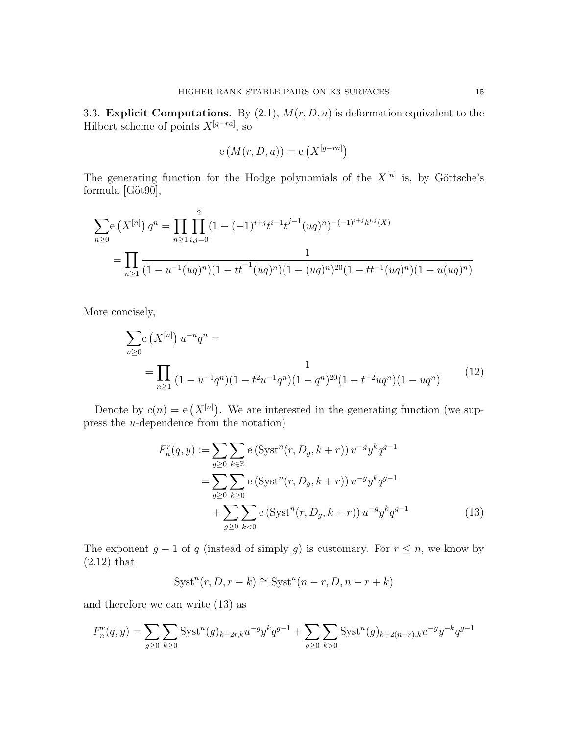3.3. Explicit Computations. By  $(2.1)$ ,  $M(r, D, a)$  is deformation equivalent to the Hilbert scheme of points  $X^{[g-ra]}$ , so

$$
e(M(r, D, a)) = e(X^{[g-ra]})
$$

The generating function for the Hodge polynomials of the  $X^{[n]}$  is, by Göttsche's formula  $[Göt90]$ ,

$$
\sum_{n\geq 0} e(X^{[n]}) q^n = \prod_{n\geq 1} \prod_{i,j=0}^{2} (1 - (-1)^{i+j} t^{i-1} \overline{t}^{j-1} (uq)^n)^{-(-1)^{i+j} h^{i,j}(X)}
$$
  
= 
$$
\prod_{n\geq 1} \frac{1}{(1 - u^{-1}(uq)^n)(1 - t\overline{t}^{-1}(uq)^n)(1 - (uq)^n)^{20}(1 - \overline{t}t^{-1}(uq)^n)(1 - u(uq)^n)}
$$

More concisely,

$$
\sum_{n\geq 0} e(X^{[n]}) u^{-n} q^n =
$$
  
= 
$$
\prod_{n\geq 1} \frac{1}{(1 - u^{-1} q^n)(1 - t^2 u^{-1} q^n)(1 - q^n)^{20} (1 - t^{-2} u q^n)(1 - u q^n)}
$$
(12)

Denote by  $c(n) = e(X^{[n]})$ . We are interested in the generating function (we suppress the u-dependence from the notation)

$$
F_n^r(q, y) := \sum_{g \ge 0} \sum_{k \in \mathbb{Z}} e\left(\text{Syst}^n(r, D_g, k+r)\right) u^{-g} y^k q^{g-1}
$$
  
= 
$$
\sum_{g \ge 0} \sum_{k \ge 0} e\left(\text{Syst}^n(r, D_g, k+r)\right) u^{-g} y^k q^{g-1}
$$
  
+ 
$$
\sum_{g \ge 0} \sum_{k < 0} e\left(\text{Syst}^n(r, D_g, k+r)\right) u^{-g} y^k q^{g-1}
$$
(13)

The exponent  $g - 1$  of q (instead of simply g) is customary. For  $r \leq n$ , we know by (2.12) that

$$
Systn(r, D, r - k) \cong Systn(n - r, D, n - r + k)
$$

and therefore we can write (13) as

$$
F_n^r(q, y) = \sum_{g \ge 0} \sum_{k \ge 0} \text{Syst}^n(g)_{k+2r, k} u^{-g} y^k q^{g-1} + \sum_{g \ge 0} \sum_{k > 0} \text{Syst}^n(g)_{k+2(n-r), k} u^{-g} y^{-k} q^{g-1}
$$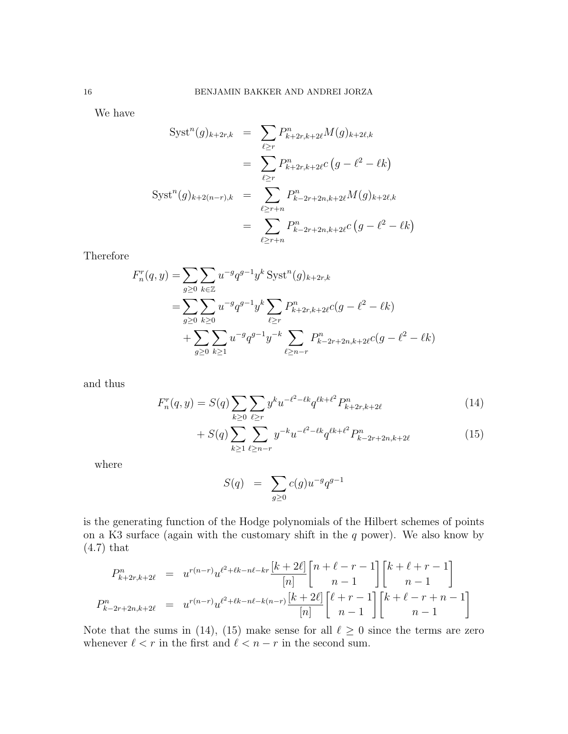We have

$$
Syst^{n}(g)_{k+2r,k} = \sum_{\ell \ge r} P_{k+2r,k+2\ell}^{n} M(g)_{k+2\ell,k}
$$
  

$$
= \sum_{\ell \ge r} P_{k+2r,k+2\ell}^{n} C(g - \ell^{2} - \ell k)
$$
  

$$
Syst^{n}(g)_{k+2(n-r),k} = \sum_{\ell \ge r+n} P_{k-2r+2n,k+2\ell}^{n} M(g)_{k+2\ell,k}
$$
  

$$
= \sum_{\ell \ge r+n} P_{k-2r+2n,k+2\ell}^{n} C(g - \ell^{2} - \ell k)
$$

Therefore

$$
F_n^r(q, y) = \sum_{g \ge 0} \sum_{k \in \mathbb{Z}} u^{-g} q^{g-1} y^k \operatorname{Syst}^n(g)_{k+2r,k}
$$
  
= 
$$
\sum_{g \ge 0} \sum_{k \ge 0} u^{-g} q^{g-1} y^k \sum_{\ell \ge r} P_{k+2r,k+2\ell}^n c(g - \ell^2 - \ell k)
$$
  
+ 
$$
\sum_{g \ge 0} \sum_{k \ge 1} u^{-g} q^{g-1} y^{-k} \sum_{\ell \ge n-r} P_{k-2r+2n,k+2\ell}^n c(g - \ell^2 - \ell k)
$$

and thus

$$
F_n^r(q, y) = S(q) \sum_{k \ge 0} \sum_{\ell \ge r} y^k u^{-\ell^2 - \ell k} q^{\ell k + \ell^2} P_{k+2r, k+2\ell}^n \tag{14}
$$

$$
+ S(q) \sum_{k \ge 1} \sum_{\ell \ge n-r} y^{-k} u^{-\ell^2 - \ell k} q^{\ell k + \ell^2} P_{k-2r+2n, k+2\ell}^n \tag{15}
$$

where

$$
S(q) = \sum_{g \ge 0} c(g) u^{-g} q^{g-1}
$$

is the generating function of the Hodge polynomials of the Hilbert schemes of points on a K3 surface (again with the customary shift in the  $q$  power). We also know by (4.7) that

$$
P_{k+2r,k+2\ell}^{n} = u^{r(n-r)}u^{\ell^2+\ell k-n\ell-kr}\frac{[k+2\ell]}{[n]} \begin{bmatrix} n+\ell-r-1\\n-1 \end{bmatrix} \begin{bmatrix} k+\ell+r-1\\n-1 \end{bmatrix}
$$

$$
P_{k-2r+2n,k+2\ell}^{n} = u^{r(n-r)}u^{\ell^2+\ell k-n\ell-k(n-r)}\frac{[k+2\ell]}{[n]} \begin{bmatrix} \ell+r-1\\n-1 \end{bmatrix} \begin{bmatrix} k+\ell-r+n-1\\n-1 \end{bmatrix}
$$

Note that the sums in (14), (15) make sense for all  $\ell \geq 0$  since the terms are zero whenever  $\ell < r$  in the first and  $\ell < n - r$  in the second sum.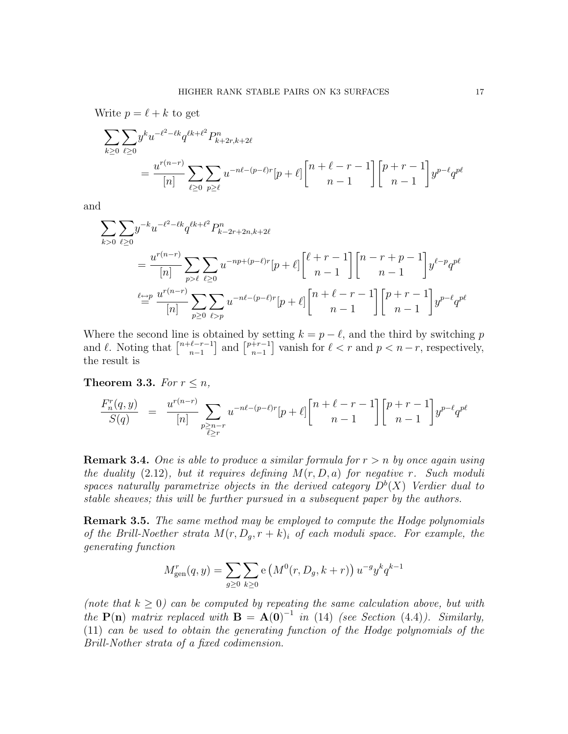Write  $p = \ell + k$  to get

$$
\sum_{k\geq 0} \sum_{\ell\geq 0} y^k u^{-\ell^2 - \ell k} q^{\ell k + \ell^2} P_{k+2r,k+2\ell}^n
$$
\n
$$
= \frac{u^{r(n-r)}}{[n]} \sum_{\ell\geq 0} \sum_{p\geq \ell} u^{-n\ell - (p-\ell)r} [p+\ell] \binom{n+\ell-r-1}{n-1} \binom{p+r-1}{n-1} y^{p-\ell} q^{p\ell}
$$

and

$$
\sum_{k>0} \sum_{\ell\geq 0} y^{-k} u^{-\ell^2 - \ell k} q^{\ell k + \ell^2} P_{k-2r+2n,k+2\ell}^n
$$
\n
$$
= \frac{u^{r(n-r)}}{[n]} \sum_{p>\ell} \sum_{\ell\geq 0} u^{-np+(p-\ell)r} [p+\ell] \binom{\ell+r-1}{n-1} \binom{n-r+p-1}{n-1} y^{\ell-p} q^{p\ell}
$$
\n
$$
\stackrel{\ell \leftrightarrow p}{=} \frac{u^{r(n-r)}}{[n]} \sum_{p\geq 0} \sum_{\ell\geq p} u^{-n\ell-(p-\ell)r} [p+\ell] \binom{n+\ell-r-1}{n-1} \binom{p+r-1}{n-1} y^{p-\ell} q^{p\ell}
$$

Where the second line is obtained by setting  $k = p - \ell$ , and the third by switching p and  $\ell$ . Noting that  $\lceil \frac{n+\ell-r-1}{n-1} \rceil$  $\binom{\ell-r-1}{n-1}$  and  $\binom{p+r-1}{n-1}$  $\binom{+r-1}{n-1}$  vanish for  $\ell < r$  and  $p < n-r$ , respectively, the result is

Theorem 3.3. For  $r \leq n$ ,

$$
\frac{F^r_n(q,y)}{S(q)} ~=~ \frac{u^{r(n-r)}}{[n]} \sum_{\substack{p\geq n-r\\ \overline{\ell}\geq r}} u^{-n\ell-(p-\ell)r}[p+\ell] \binom{n+\ell-r-1}{n-1} \binom{p+r-1}{n-1} y^{p-\ell} q^{p\ell}
$$

**Remark 3.4.** One is able to produce a similar formula for  $r > n$  by once again using the duality  $(2.12)$ , but it requires defining  $M(r, D, a)$  for negative r. Such moduli spaces naturally parametrize objects in the derived category  $D^b(X)$  Verdier dual to stable sheaves; this will be further pursued in a subsequent paper by the authors.

**Remark 3.5.** The same method may be employed to compute the Hodge polynomials of the Brill-Noether strata  $M(r, D_g, r+k)_i$  of each moduli space. For example, the generating function

$$
M_{\text{gen}}^r(q, y) = \sum_{g \ge 0} \sum_{k \ge 0} e\left(M^0(r, D_g, k+r)\right) u^{-g} y^k q^{k-1}
$$

(note that  $k \geq 0$ ) can be computed by repeating the same calculation above, but with the  $P(n)$  matrix replaced with  $B = A(0)^{-1}$  in (14) (see Section (4.4)). Similarly, (11) can be used to obtain the generating function of the Hodge polynomials of the Brill-Nother strata of a fixed codimension.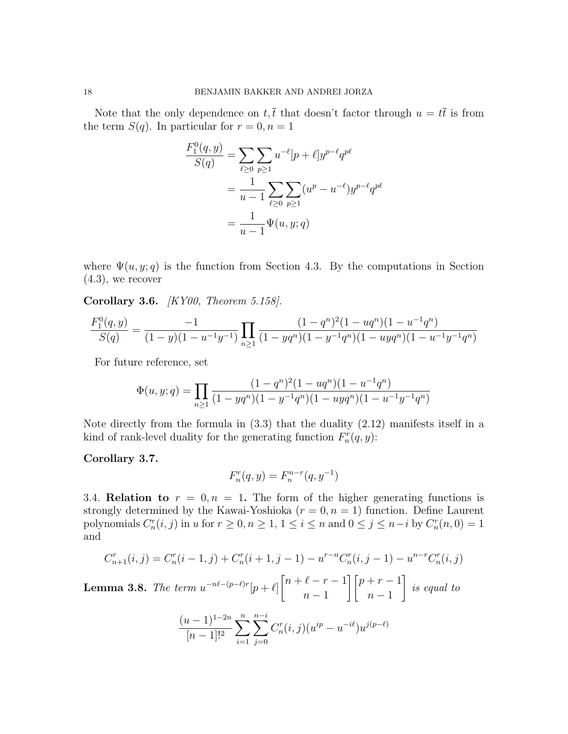Note that the only dependence on  $t, \bar{t}$  that doesn't factor through  $u = t\bar{t}$  is from the term  $S(q)$ . In particular for  $r = 0, n = 1$ 

$$
\frac{F_1^0(q, y)}{S(q)} = \sum_{\ell \ge 0} \sum_{p \ge 1} u^{-\ell} [p + \ell] y^{p-\ell} q^{p\ell}
$$

$$
= \frac{1}{u-1} \sum_{\ell \ge 0} \sum_{p \ge 1} (u^p - u^{-\ell}) y^{p-\ell} q^{p\ell}
$$

$$
= \frac{1}{u-1} \Psi(u, y; q)
$$

where  $\Psi(u, y; q)$  is the function from Section 4.3. By the computations in Section  $(4.3)$ , we recover

Corollary 3.6. [KY00, Theorem 5.158].

$$
\frac{F_1^0(q,y)}{S(q)} = \frac{-1}{(1-y)(1-u^{-1}y^{-1})} \prod_{n\geq 1} \frac{(1-q^n)^2(1-uq^n)(1-u^{-1}q^n)}{(1-yq^n)(1-y^{-1}q^n)(1-uyq^n)(1-u^{-1}y^{-1}q^n)}
$$

For future reference, set

$$
\Phi(u, y; q) = \prod_{n \ge 1} \frac{(1 - q^n)^2 (1 - u q^n)(1 - u^{-1} q^n)}{(1 - y q^n)(1 - y^{-1} q^n)(1 - u y q^n)(1 - u^{-1} y^{-1} q^n)}
$$

Note directly from the formula in  $(3.3)$  that the duality  $(2.12)$  manifests itself in a kind of rank-level duality for the generating function  $F_n^r(q, y)$ :

Corollary 3.7.

$$
F_n^r(q, y) = F_n^{n-r}(q, y^{-1})
$$

3.4. Relation to  $r = 0, n = 1$ . The form of the higher generating functions is strongly determined by the Kawai-Yoshioka  $(r = 0, n = 1)$  function. Define Laurent polynomials  $C_n^r(i, j)$  in u for  $r \geq 0, n \geq 1, 1 \leq i \leq n$  and  $0 \leq j \leq n-i$  by  $C_n^r(n, 0) = 1$ and

$$
C_{n+1}^r(i,j) = C_n^r(i-1,j) + C_n^r(i+1,j-1) - u^{r-n} C_n^r(i,j-1) - u^{n-r} C_n^r(i,j)
$$

**Lemma 3.8.** The term  $u^{-n\ell-(p-\ell)r}[p+\ell]$  $\lceil n + \ell - r - 1 \rceil$  $n-1$  $\left[\right] [p + r - 1]$  $n-1$ 1 is equal to

$$
\frac{(u-1)^{1-2n}}{[n-1]!^2} \sum_{i=1}^n \sum_{j=0}^{n-i} C_n^r(i,j) (u^{ip} - u^{-i\ell}) u^{j(p-\ell)}
$$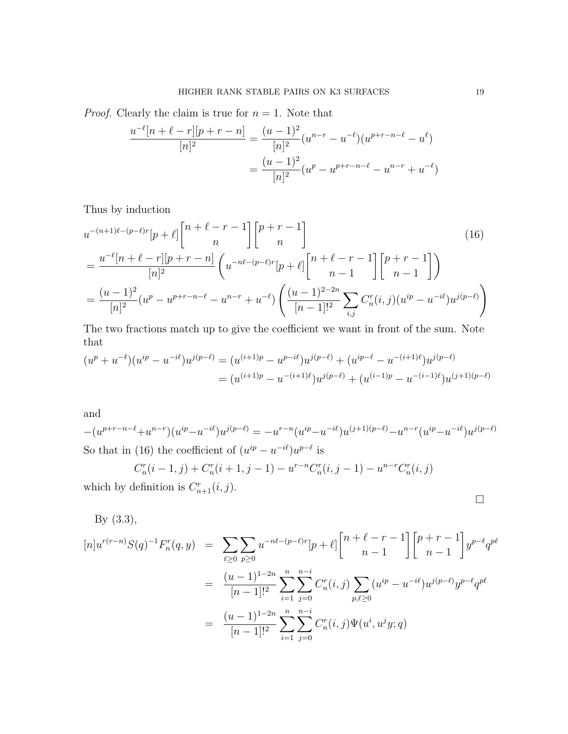*Proof.* Clearly the claim is true for  $n = 1$ . Note that

$$
\frac{u^{-\ell}[n+\ell-r][p+r-n]}{[n]^2} = \frac{(u-1)^2}{[n]^2}(u^{n-r} - u^{-\ell})(u^{p+r-n-\ell} - u^{\ell})
$$

$$
= \frac{(u-1)^2}{[n]^2}(u^p - u^{p+r-n-\ell} - u^{n-r} + u^{-\ell})
$$

Thus by induction

$$
u^{-(n+1)\ell-(p-\ell)r}[p+\ell] \begin{bmatrix} n+\ell-r-1 \\ n \end{bmatrix} \begin{bmatrix} p+r-1 \\ n \end{bmatrix}
$$
(16)  
= 
$$
\frac{u^{-\ell}[n+\ell-r][p+r-n]}{[n]^2} \left( u^{-n\ell-(p-\ell)r}[p+\ell] \begin{bmatrix} n+\ell-r-1 \\ n-1 \end{bmatrix} \begin{bmatrix} p+r-1 \\ n-1 \end{bmatrix} \right)
$$
  
= 
$$
\frac{(u-1)^2}{[n]^2} (u^p - u^{p+r-n-\ell} - u^{n-r} + u^{-\ell}) \left( \frac{(u-1)^{2-2n}}{[n-1]!^2} \sum_{i,j} C_n^r(i,j) (u^{ip} - u^{-i\ell}) u^{j(p-\ell)} \right)
$$

The two fractions match up to give the coefficient we want in front of the sum. Note that

$$
(u^{p} + u^{-\ell})(u^{ip} - u^{-i\ell})u^{j(p-\ell)} = (u^{(i+1)p} - u^{p-i\ell})u^{j(p-\ell)} + (u^{ip-\ell} - u^{-(i+1)\ell})u^{j(p-\ell)}
$$
  
= 
$$
(u^{(i+1)p} - u^{-(i+1)\ell})u^{j(p-\ell)} + (u^{(i-1)p} - u^{-(i-1)\ell})u^{(j+1)(p-\ell)}
$$

and

$$
-(u^{p+r-n-\ell}+u^{n-r})(u^{ip}-u^{-i\ell})u^{j(p-\ell)} = -u^{r-n}(u^{ip}-u^{-i\ell})u^{(j+1)(p-\ell)} - u^{n-r}(u^{ip}-u^{-i\ell})u^{j(p-\ell)}
$$
  
So that in (16) the coefficient of  $(u^{ip} - u^{-i\ell})u^{p-\ell}$  is  

$$
C_n^r(i-1,j) + C_n^r(i+1,j-1) - u^{r-n}C_n^r(i,j-1) - u^{n-r}C_n^r(i,j)
$$

$$
C_n(i-1,j) + C_n(i+1,j-1) - u \qquad C_n(i,j-1) - u
$$
  
which by definition is  $C_{n+1}^r(i,j)$ .

By 
$$
(3.3)
$$
,

$$
[n]u^{r(r-n)}S(q)^{-1}F_n^r(q,y) = \sum_{\ell \ge 0} \sum_{p\ge 0} u^{-n\ell-(p-\ell)r}[p+\ell] \binom{n+\ell-r-1}{n-1} \binom{p+r-1}{n-1} y^{p-\ell} q^{p\ell}
$$
  

$$
= \frac{(u-1)^{1-2n}}{[n-1]!^2} \sum_{i=1}^n \sum_{j=0}^{n-i} C_n^r(i,j) \sum_{p,\ell \ge 0} (u^{ip} - u^{-i\ell}) u^{j(p-\ell)} y^{p-\ell} q^{p\ell}
$$
  

$$
= \frac{(u-1)^{1-2n}}{[n-1]!^2} \sum_{i=1}^n \sum_{j=0}^{n-i} C_n^r(i,j) \Psi(u^i, u^j y; q)
$$

 $\Box$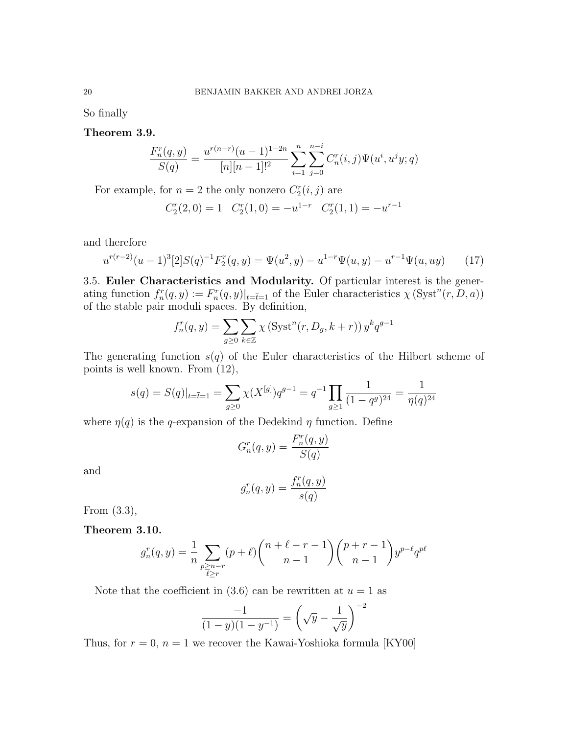So finally

Theorem 3.9.

$$
\frac{F_n^r(q,y)}{S(q)} = \frac{u^{r(n-r)}(u-1)^{1-2n}}{[n][n-1]!^2} \sum_{i=1}^n \sum_{j=0}^{n-i} C_n^r(i,j) \Psi(u^i, u^j y; q)
$$

For example, for  $n = 2$  the only nonzero  $C_2^r(i, j)$  are

$$
C_2^r(2,0) = 1 \quad C_2^r(1,0) = -u^{1-r} \quad C_2^r(1,1) = -u^{r-1}
$$

and therefore

$$
u^{r(r-2)}(u-1)^3[2]S(q)^{-1}F_2^r(q,y) = \Psi(u^2,y) - u^{1-r}\Psi(u,y) - u^{r-1}\Psi(u,uy) \tag{17}
$$

3.5. Euler Characteristics and Modularity. Of particular interest is the generating function  $f_n^r(q, y) := F_n^r(q, y)|_{t=\bar{t}=1}$  of the Euler characteristics  $\chi(\text{Syst}^n(r, D, a))$ of the stable pair moduli spaces. By definition,

$$
f_n^r(q, y) = \sum_{g \ge 0} \sum_{k \in \mathbb{Z}} \chi\left(\text{Syst}^n(r, D_g, k+r)\right) y^k q^{g-1}
$$

The generating function  $s(q)$  of the Euler characteristics of the Hilbert scheme of points is well known. From (12),

$$
s(q) = S(q)|_{t=\bar{t}=1} = \sum_{g \ge 0} \chi(X^{[g]}) q^{g-1} = q^{-1} \prod_{g \ge 1} \frac{1}{(1-q^g)^{24}} = \frac{1}{\eta(q)^{24}}
$$

where  $\eta(q)$  is the q-expansion of the Dedekind  $\eta$  function. Define

$$
G_n^r(q, y) = \frac{F_n^r(q, y)}{S(q)}
$$

and

$$
g_n^r(q, y) = \frac{f_n^r(q, y)}{s(q)}
$$

From (3.3),

Theorem 3.10.

$$
g_n^r(q, y) = \frac{1}{n} \sum_{\substack{p \ge n-r \\ \ell \ge r}} (p + \ell) {n + \ell - r - 1 \choose n - 1} {p + r - 1 \choose n - 1} y^{p - \ell} q^{p\ell}
$$

Note that the coefficient in (3.6) can be rewritten at  $u = 1$  as

$$
\frac{-1}{(1-y)(1-y^{-1})} = \left(\sqrt{y} - \frac{1}{\sqrt{y}}\right)^{-2}
$$

Thus, for  $r = 0$ ,  $n = 1$  we recover the Kawai-Yoshioka formula [KY00]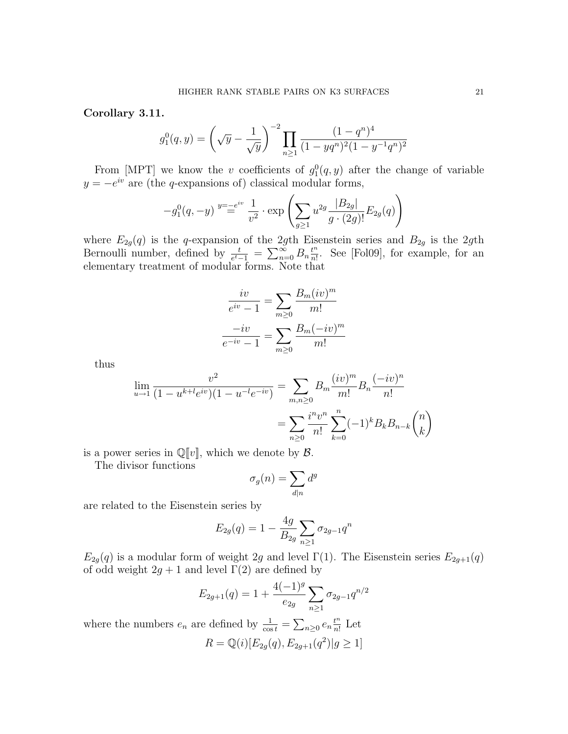Corollary 3.11.

$$
g_1^0(q, y) = \left(\sqrt{y} - \frac{1}{\sqrt{y}}\right)^{-2} \prod_{n \ge 1} \frac{(1 - q^n)^4}{(1 - yq^n)^2 (1 - y^{-1}q^n)^2}
$$

From [MPT] we know the v coefficients of  $g_1^0(q, y)$  after the change of variable  $y = -e^{iv}$  are (the q-expansions of) classical modular forms,

$$
-g_1^0(q, -y) \stackrel{y=-e^{iv}}{=} \frac{1}{v^2} \cdot \exp\left(\sum_{g\geq 1} u^{2g} \frac{|B_{2g}|}{g \cdot (2g)!} E_{2g}(q)\right)
$$

where  $E_{2g}(q)$  is the q-expansion of the 2gth Eisenstein series and  $B_{2g}$  is the 2gth Bernoulli number, defined by  $\frac{t}{e^t-1} = \sum_{n=0}^{\infty} B_n \frac{t^n}{n!}$  $\frac{t^n}{n!}$ . See [Fol09], for example, for an elementary treatment of modular forms. Note that

$$
\frac{iv}{e^{iv} - 1} = \sum_{m \ge 0} \frac{B_m(iv)^m}{m!}
$$

$$
\frac{-iv}{e^{-iv} - 1} = \sum_{m \ge 0} \frac{B_m(-iv)^m}{m!}
$$

thus

$$
\lim_{u \to 1} \frac{v^2}{(1 - u^{k + l} e^{iv})(1 - u^{-l} e^{-iv})} = \sum_{m,n \ge 0} B_m \frac{(iv)^m}{m!} B_n \frac{(-iv)^n}{n!}
$$

$$
= \sum_{n \ge 0} \frac{i^n v^n}{n!} \sum_{k=0}^n (-1)^k B_k B_{n-k} {n \choose k}
$$

is a power series in  $\mathbb{Q}[v]$ , which we denote by  $\mathcal{B}$ .

The divisor functions

$$
\sigma_g(n) = \sum_{d|n} d^g
$$

are related to the Eisenstein series by

$$
E_{2g}(q) = 1 - \frac{4g}{B_{2g}} \sum_{n \ge 1} \sigma_{2g-1} q^n
$$

 $E_{2g}(q)$  is a modular form of weight 2g and level  $\Gamma(1)$ . The Eisenstein series  $E_{2g+1}(q)$ of odd weight  $2g + 1$  and level  $\Gamma(2)$  are defined by

$$
E_{2g+1}(q) = 1 + \frac{4(-1)^g}{e_{2g}} \sum_{n \ge 1} \sigma_{2g-1} q^{n/2}
$$

where the numbers  $e_n$  are defined by  $\frac{1}{\cos t} = \sum_{n\geq 0} e_n \frac{t^n}{n!}$  $\frac{t^n}{n!}$  Let  $R = \mathbb{Q}(i)[E_{2g}(q), E_{2g+1}(q^2)|g \ge 1]$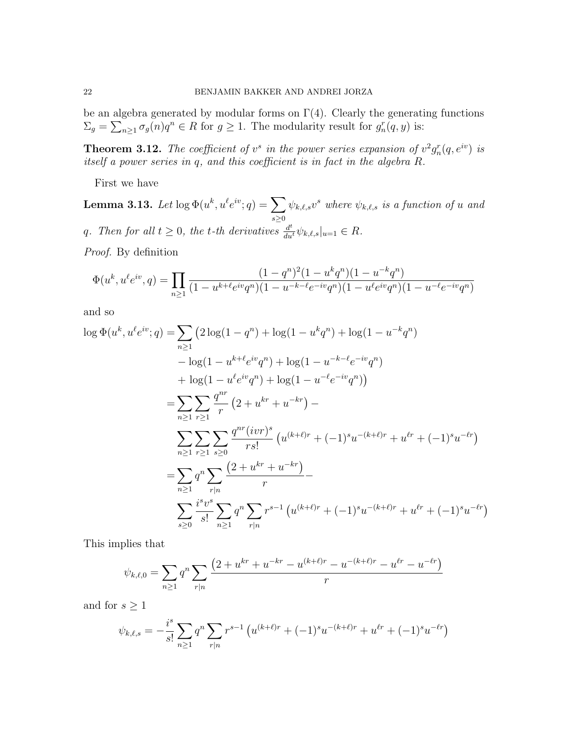be an algebra generated by modular forms on  $\Gamma(4)$ . Clearly the generating functions  $\Sigma_g = \sum_{n \geq 1} \sigma_g(n) q^n \in R$  for  $g \geq 1$ . The modularity result for  $g_n^r(q, y)$  is:

**Theorem 3.12.** The coefficient of  $v^s$  in the power series expansion of  $v^2g_n^r(q, e^{iv})$  is itself a power series in q, and this coefficient is in fact in the algebra R.

First we have

Lemma 3.13. Let  $\log \Phi(u^k,u^\ell e^{iv};q) = \sum_{k=1}^N \delta_k$  $s \geq 0$  $\psi_{k,\ell,s} v^s$  where  $\psi_{k,\ell,s}$  is a function of u and q. Then for all  $t \geq 0$ , the t-th derivatives  $\frac{d^t}{du^t} \psi_{k,\ell,s}|_{u=1} \in R$ .

Proof. By definition

$$
\Phi(u^k, u^\ell e^{iv}, q) = \prod_{n \ge 1} \frac{(1 - q^n)^2 (1 - u^k q^n)(1 - u^{-k} q^n)}{(1 - u^{k + \ell} e^{iv} q^n)(1 - u^{-k - \ell} e^{-iv} q^n)(1 - u^\ell e^{iv} q^n)(1 - u^{-\ell} e^{-iv} q^n)}
$$

and so

$$
\log \Phi(u^k, u^{\ell}e^{iv}; q) = \sum_{n\geq 1} \left( 2\log(1 - q^n) + \log(1 - u^k q^n) + \log(1 - u^{-k} q^n) \right. \\
\left. - \log(1 - u^{k+\ell}e^{iv}q^n) + \log(1 - u^{-k-\ell}e^{-iv}q^n) \right. \\
\left. + \log(1 - u^{\ell}e^{iv}q^n) + \log(1 - u^{-\ell}e^{-iv}q^n) \right) \\
= \sum_{n\geq 1} \sum_{r\geq 1} \frac{q^{nr}}{r} \left( 2 + u^{kr} + u^{-kr} \right) - \\
\sum_{n\geq 1} \sum_{r\geq 1} \sum_{s\geq 0} \frac{q^{nr}(ivr)^s}{rs!} \left( u^{(k+\ell)r} + (-1)^s u^{-(k+\ell)r} + u^{\ell r} + (-1)^s u^{-\ell r} \right) \\
= \sum_{n\geq 1} q^n \sum_{r|n} \frac{\left( 2 + u^{kr} + u^{-kr} \right)}{r} - \\
\sum_{s\geq 0} \frac{i^s v^s}{s!} \sum_{n\geq 1} q^n \sum_{r|n} r^{s-1} \left( u^{(k+\ell)r} + (-1)^s u^{-(k+\ell)r} + u^{\ell r} + (-1)^s u^{-\ell r} \right)
$$

This implies that

$$
\psi_{k,\ell,0} = \sum_{n\geq 1} q^n \sum_{r|n} \frac{\left(2+u^{kr}+u^{-kr}-u^{(k+\ell)r}-u^{-(k+\ell)r}-u^{\ell r}-u^{-\ell r}\right)}{r}
$$

and for  $s \geq 1$ 

$$
\psi_{k,\ell,s} = -\frac{i^s}{s!} \sum_{n\geq 1} q^n \sum_{r|n} r^{s-1} \left( u^{(k+\ell)r} + (-1)^s u^{-(k+\ell)r} + u^{\ell r} + (-1)^s u^{-\ell r} \right)
$$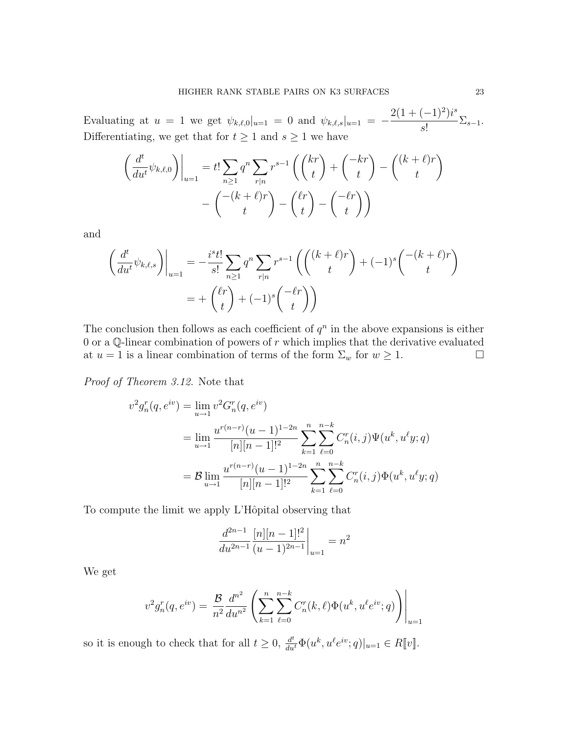Evaluating at  $u = 1$  we get  $\psi_{k,\ell,0}|_{u=1} = 0$  and  $\psi_{k,\ell,s}|_{u=1} = 2(1+(-1)^2)i^s$  $\frac{(1)}{s!} \sum_{s=1}^{s}$ Differentiating, we get that for  $t \geq 1$  and  $s \geq 1$  we have

$$
\left(\frac{d^t}{du^t}\psi_{k,\ell,0}\right)\Big|_{u=1} = t!\sum_{n\geq 1} q^n \sum_{r|n} r^{s-1} \left(\binom{kr}{t} + \binom{-kr}{t} - \binom{(k+\ell)r}{t}\right) - \binom{-(k+\ell)r}{t} - \binom{\ell r}{t} - \binom{-\ell r}{t}
$$

and

$$
\left(\frac{d^t}{du^t}\psi_{k,\ell,s}\right)\Big|_{u=1} = -\frac{i^st!}{s!} \sum_{n\geq 1} q^n \sum_{r|n} r^{s-1} \left(\binom{(k+\ell)r}{t} + (-1)^s \binom{-(k+\ell)r}{t}\right)
$$

$$
= + \binom{\ell r}{t} + (-1)^s \binom{-\ell r}{t}
$$

The conclusion then follows as each coefficient of  $q<sup>n</sup>$  in the above expansions is either 0 or a  $\mathbb Q$ -linear combination of powers of r which implies that the derivative evaluated at  $u = 1$  is a linear combination of terms of the form  $\Sigma_w$  for  $w \ge 1$ .

Proof of Theorem 3.12. Note that

$$
v^2 g_n^r(q, e^{iv}) = \lim_{u \to 1} v^2 G_n^r(q, e^{iv})
$$
  
= 
$$
\lim_{u \to 1} \frac{u^{r(n-r)}(u-1)^{1-2n}}{[n][n-1]!^2} \sum_{k=1}^n \sum_{\ell=0}^{n-k} C_n^r(i,j) \Psi(u^k, u^{\ell}y;q)
$$
  
= 
$$
\mathcal{B} \lim_{u \to 1} \frac{u^{r(n-r)}(u-1)^{1-2n}}{[n][n-1]!^2} \sum_{k=1}^n \sum_{\ell=0}^{n-k} C_n^r(i,j) \Phi(u^k, u^{\ell}y;q)
$$

To compute the limit we apply L'Hôpital observing that

$$
\frac{d^{2n-1}}{du^{2n-1}} \frac{[n][n-1]!^2}{(u-1)^{2n-1}}\bigg|_{u=1} = n^2
$$

We get

$$
v^2 g_n^r(q, e^{iv}) = \frac{\mathcal{B}}{n^2} \frac{d^{n^2}}{du^{n^2}} \left( \sum_{k=1}^n \sum_{\ell=0}^{n-k} C_n^r(k, \ell) \Phi(u^k, u^{\ell} e^{iv}; q) \right) \Big|_{u=1}
$$

so it is enough to check that for all  $t \geq 0$ ,  $\frac{d^t}{du^t} \Phi(u^k, u^\ell e^{iv}; q)|_{u=1} \in R[[v]].$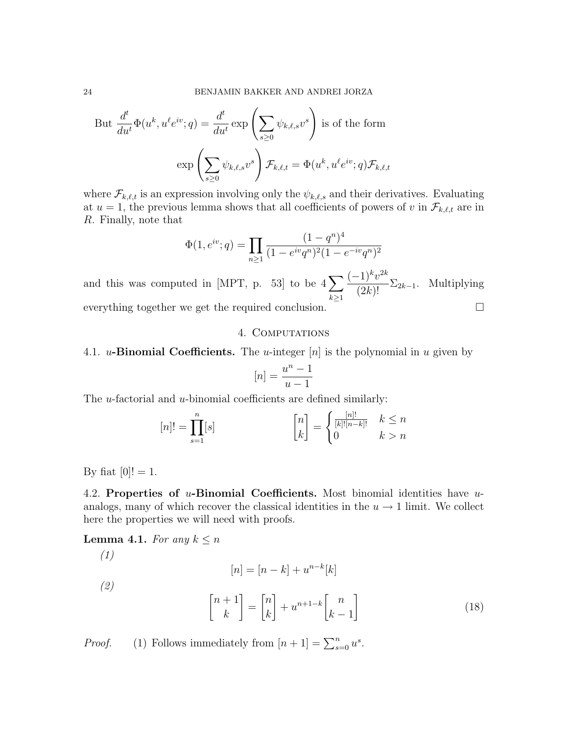But 
$$
\frac{d^t}{du^t} \Phi(u^k, u^\ell e^{iv}; q) = \frac{d^t}{du^t} \exp\left(\sum_{s\geq 0} \psi_{k,\ell,s} v^s\right)
$$
 is of the form  

$$
\exp\left(\sum_{s\geq 0} \psi_{k,\ell,s} v^s\right) \mathcal{F}_{k,\ell,t} = \Phi(u^k, u^\ell e^{iv}; q) \mathcal{F}_{k,\ell,t}
$$

where  $\mathcal{F}_{k,\ell,t}$  is an expression involving only the  $\psi_{k,\ell,s}$  and their derivatives. Evaluating at  $u = 1$ , the previous lemma shows that all coefficients of powers of v in  $\mathcal{F}_{k,\ell,t}$  are in R. Finally, note that

$$
\Phi(1, e^{iv}; q) = \prod_{n \ge 1} \frac{(1 - q^n)^4}{(1 - e^{iv}q^n)^2 (1 - e^{-iv}q^n)^2}
$$

and this was computed in [MPT, p. 53] to be  $4\sum$  $k\geq 1$  $(-1)^k v^{2k}$  $\frac{1}{2(k)!}$   $\Sigma_{2k-1}$ . Multiplying everything together we get the required conclusion.  $\Box$ 

### 4. Computations

4.1. u-Binomial Coefficients. The u-integer  $[n]$  is the polynomial in u given by

$$
[n] = \frac{u^n - 1}{u - 1}
$$

The *u*-factorial and *u*-binomial coefficients are defined similarly:

$$
[n]! = \prod_{s=1}^{n} [s] \qquad \qquad \begin{bmatrix} n \\ k \end{bmatrix} = \begin{cases} \frac{[n]!}{[k]! [n-k]!} & k \le n \\ 0 & k > n \end{cases}
$$

By fiat  $[0]! = 1$ .

4.2. Properties of  $u$ -Binomial Coefficients. Most binomial identities have  $u$ analogs, many of which recover the classical identities in the  $u \rightarrow 1$  limit. We collect here the properties we will need with proofs.

**Lemma 4.1.** For any  $k \leq n$ 

(1)  
\n
$$
[n] = [n-k] + u^{n-k}[k]
$$
\n
$$
{2}
$$
\n
$$
{n+1 \brack k} = {n \brack k} + u^{n+1-k} {n \brack k-1}
$$
\n(18)

*Proof.* (1) Follows immediately from  $[n+1] = \sum_{s=0}^{n} u^s$ .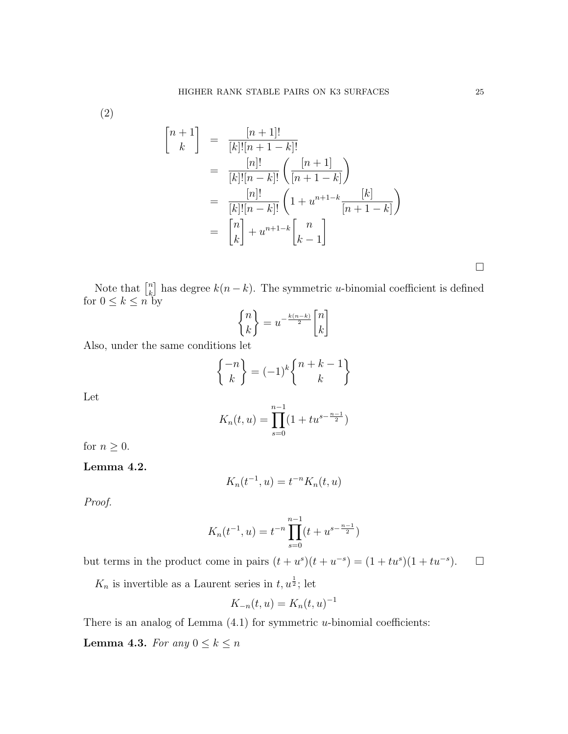(2)

$$
\begin{aligned}\n\begin{bmatrix}\nn+1 \\
k\n\end{bmatrix} &= \frac{[n+1]!}{[k]![n+1-k]!} \\
&= \frac{[n]!}{[k]![n-k]!} \left(\frac{[n+1]}{[n+1-k]}\right) \\
&= \frac{[n]!}{[k]![n-k]!} \left(1 + u^{n+1-k} \frac{[k]}{[n+1-k]}\right) \\
&= \begin{bmatrix}\nn \\
k\n\end{bmatrix} + u^{n+1-k} \begin{bmatrix}\nn \\
k-1\n\end{bmatrix}\n\end{aligned}
$$

Note that  $\begin{bmatrix} n \\ k \end{bmatrix}$  $\binom{n}{k}$  has degree  $k(n-k)$ . The symmetric *u*-binomial coefficient is defined for  $0 \leq k \leq n$  by

$$
\begin{Bmatrix} n \\ k \end{Bmatrix} = u^{-\frac{k(n-k)}{2}} \begin{bmatrix} n \\ k \end{bmatrix}
$$

Also, under the same conditions let

$$
\begin{Bmatrix} -n \\ k \end{Bmatrix} = (-1)^k \begin{Bmatrix} n+k-1 \\ k \end{Bmatrix}
$$

Let

$$
K_n(t, u) = \prod_{s=0}^{n-1} (1 + tu^{s - \frac{n-1}{2}})
$$

for  $n\geq 0.$ 

Lemma 4.2.

$$
K_n(t^{-1},u) = t^{-n}K_n(t,u)
$$

Proof.

$$
K_n(t^{-1}, u) = t^{-n} \prod_{s=0}^{n-1} (t + u^{s - \frac{n-1}{2}})
$$

but terms in the product come in pairs  $(t + u<sup>s</sup>)(t + u<sup>-s</sup>) = (1 + tu<sup>s</sup>)(1 + tu<sup>-s</sup>).$ 

 $K_n$  is invertible as a Laurent series in  $t, u^{\frac{1}{2}}$ ; let

$$
K_{-n}(t, u) = K_n(t, u)^{-1}
$$

There is an analog of Lemma  $(4.1)$  for symmetric *u*-binomial coefficients:

**Lemma 4.3.** For any  $0 \leq k \leq n$ 

 $\Box$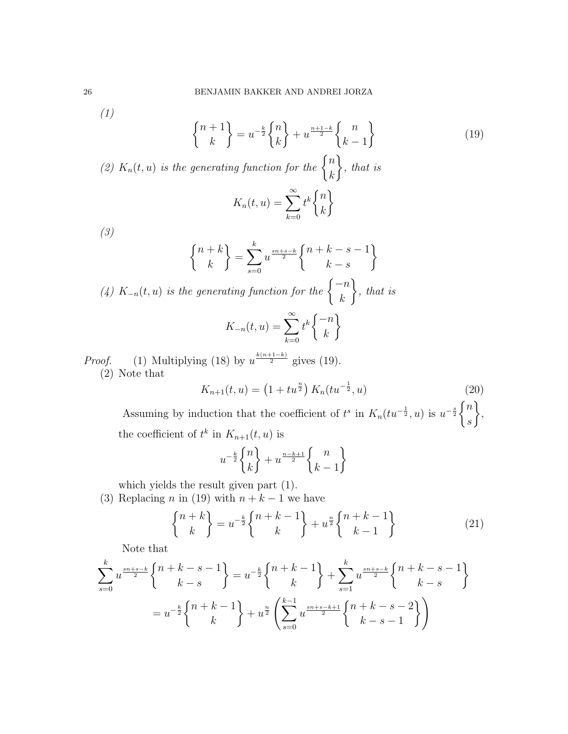(1)

$$
\binom{n+1}{k} = u^{-\frac{k}{2}} \binom{n}{k} + u^{\frac{n+1-k}{2}} \binom{n}{k-1}
$$
 (19)

(2)  $K_n(t, u)$  is the generating function for the  $\begin{cases} n \\ h \end{cases}$ k  $\mathcal{L}$ , that is  $K_n(t, u) = \sum_{n=0}^{\infty}$  $_{k=0}$  $t^k\Big\{n$ k  $\mathcal{L}$ 

(3)

$$
\begin{Bmatrix} n+k \\ k \end{Bmatrix} = \sum_{s=0}^{k} u^{\frac{s n+s-k}{2}} \begin{Bmatrix} n+k-s-1 \\ k-s \end{Bmatrix}
$$

(4)  $K_{-n}(t, u)$  is the generating function for the  $\begin{cases} -n \end{cases}$ k  $\mathcal{L}$ , that is

$$
K_{-n}(t,u) = \sum_{k=0}^{\infty} t^k \begin{Bmatrix} -n \\ k \end{Bmatrix}
$$

*Proof.* (1) Multiplying (18) by  $u^{\frac{k(n+1-k)}{2}}$  gives (19). (2) Note that

$$
K_{n+1}(t, u) = \left(1 + tu^{\frac{n}{2}}\right) K_n(tu^{-\frac{1}{2}}, u) \tag{20}
$$

Assuming by induction that the coefficient of  $t^s$  in  $K_n(tu^{-\frac{1}{2}}, u)$  is  $u^{-\frac{s}{2}}\begin{cases} n \\ -\frac{s}{2} \end{cases}$ s  $\mathcal{L}$ , the coefficient of  $t^k$  in  $K_{n+1}(t, u)$  is

$$
u^{-\frac{k}{2}}\begin{Bmatrix}n\\k\end{Bmatrix}+u^{\frac{n-k+1}{2}}\begin{Bmatrix}n\\k-1\end{Bmatrix}
$$

which yields the result given part (1).

(3) Replacing n in (19) with  $n + k - 1$  we have

$$
\begin{Bmatrix} n+k \\ k \end{Bmatrix} = u^{-\frac{k}{2}} \begin{Bmatrix} n+k-1 \\ k \end{Bmatrix} + u^{\frac{n}{2}} \begin{Bmatrix} n+k-1 \\ k-1 \end{Bmatrix}
$$
 (21)

Note that

$$
\sum_{s=0}^{k} u^{\frac{s_{n+s-k}}{2}} \begin{Bmatrix} n+k-s-1 \\ k-s \end{Bmatrix} = u^{-\frac{k}{2}} \begin{Bmatrix} n+k-1 \\ k \end{Bmatrix} + \sum_{s=1}^{k} u^{\frac{s_{n+s-k}}{2}} \begin{Bmatrix} n+k-s-1 \\ k-s \end{Bmatrix}
$$

$$
= u^{-\frac{k}{2}} \begin{Bmatrix} n+k-1 \\ k \end{Bmatrix} + u^{\frac{n}{2}} \left( \sum_{s=0}^{k-1} u^{\frac{s_{n+s-k+1}}{2}} \begin{Bmatrix} n+k-s-2 \\ k-s-1 \end{Bmatrix} \right)
$$

$$
^{26}
$$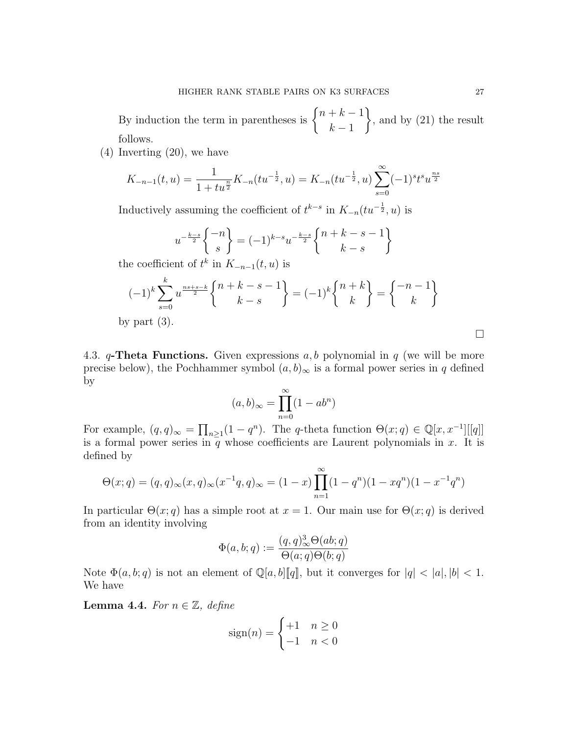By induction the term in parentheses is  $\begin{cases} n+k-1 \\ n \end{cases}$  $k-1$  $\mathcal{L}$ , and by (21) the result follows.

(4) Inverting (20), we have

$$
K_{-n-1}(t,u) = \frac{1}{1+tu^{\frac{n}{2}}}K_{-n}(tu^{-\frac{1}{2}},u) = K_{-n}(tu^{-\frac{1}{2}},u)\sum_{s=0}^{\infty}(-1)^st^su^{\frac{ns}{2}}
$$

Inductively assuming the coefficient of  $t^{k-s}$  in  $K_{-n}(tu^{-\frac{1}{2}}, u)$  is

$$
u^{-\frac{k-s}{2}}\begin{Bmatrix} -n \\ s \end{Bmatrix} = (-1)^{k-s}u^{-\frac{k-s}{2}}\begin{Bmatrix} n+k-s-1 \\ k-s \end{Bmatrix}
$$

the coefficient of  $t^k$  in  $K_{-n-1}(t, u)$  is

$$
(-1)^k \sum_{s=0}^k u^{\frac{ns+s-k}{2}} \begin{Bmatrix} n+k-s-1 \\ k-s \end{Bmatrix} = (-1)^k \begin{Bmatrix} n+k \\ k \end{Bmatrix} = \begin{Bmatrix} -n-1 \\ k \end{Bmatrix}
$$

by part  $(3)$ .

4.3. q-Theta Functions. Given expressions  $a, b$  polynomial in q (we will be more precise below), the Pochhammer symbol  $(a, b)_{\infty}$  is a formal power series in q defined by

$$
(a,b)_{\infty} = \prod_{n=0}^{\infty} (1 - ab^n)
$$

For example,  $(q, q)_{\infty} = \prod_{n \geq 1} (1 - q^n)$ . The q-theta function  $\Theta(x; q) \in \mathbb{Q}[x, x^{-1}][[q]]$ is a formal power series in  $\overline{q}$  whose coefficients are Laurent polynomials in x. It is defined by

$$
\Theta(x;q) = (q,q)_{\infty}(x,q)_{\infty}(x^{-1}q,q)_{\infty} = (1-x)\prod_{n=1}^{\infty}(1-q^n)(1-xq^n)(1-x^{-1}q^n)
$$

In particular  $\Theta(x; q)$  has a simple root at  $x = 1$ . Our main use for  $\Theta(x; q)$  is derived from an identity involving

$$
\Phi(a, b; q) := \frac{(q, q)^3_{\infty} \Theta(ab; q)}{\Theta(a; q) \Theta(b; q)}
$$

Note  $\Phi(a, b; q)$  is not an element of  $\mathbb{Q}[a, b][q]$ , but it converges for  $|q| < |a|, |b| < 1$ . We have

Lemma 4.4. For  $n \in \mathbb{Z}$ , define

$$
sign(n) = \begin{cases} +1 & n \ge 0 \\ -1 & n < 0 \end{cases}
$$

 $\Box$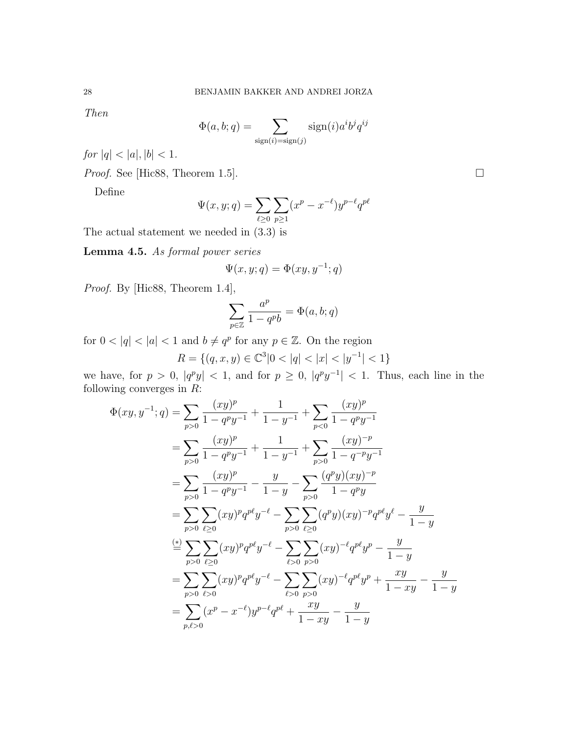Then

$$
\Phi(a, b; q) = \sum_{\text{sign}(i) = \text{sign}(j)} \text{sign}(i) a^i b^j q^{ij}
$$

 $\label{eq:1} \begin{split} \textit{for $|q|<|a|, |b|<1$.} \end{split}$ 

*Proof.* See [Hic88, Theorem 1.5].

Define

$$
\Psi(x, y; q) = \sum_{\ell \ge 0} \sum_{p \ge 1} (x^p - x^{-\ell}) y^{p-\ell} q^{p\ell}
$$

The actual statement we needed in (3.3) is

Lemma 4.5. As formal power series

$$
\Psi(x, y; q) = \Phi(xy, y^{-1}; q)
$$

Proof. By [Hic88, Theorem 1.4],

$$
\sum_{p \in \mathbb{Z}} \frac{a^p}{1 - q^p b} = \Phi(a, b; q)
$$

for  $0 < |q| < |a| < 1$  and  $b \neq q^p$  for any  $p \in \mathbb{Z}$ . On the region

$$
R = \{(q, x, y) \in \mathbb{C}^3 | 0 < |q| < |x| < |y^{-1}| < 1\}
$$

we have, for  $p > 0$ ,  $|q^p y| < 1$ , and for  $p \ge 0$ ,  $|q^p y^{-1}| < 1$ . Thus, each line in the following converges in  $R$ :

$$
\Phi(xy, y^{-1}; q) = \sum_{p>0} \frac{(xy)^p}{1 - q^p y^{-1}} + \frac{1}{1 - y^{-1}} + \sum_{p<0} \frac{(xy)^p}{1 - q^p y^{-1}}
$$
  
\n
$$
= \sum_{p>0} \frac{(xy)^p}{1 - q^p y^{-1}} + \frac{1}{1 - y^{-1}} + \sum_{p>0} \frac{(xy)^{-p}}{1 - q^{-p} y^{-1}}
$$
  
\n
$$
= \sum_{p>0} \frac{(xy)^p}{1 - q^p y^{-1}} - \frac{y}{1 - y} - \sum_{p>0} \frac{(q^p y)(xy)^{-p}}{1 - q^p y}
$$
  
\n
$$
= \sum_{p>0} \sum_{\ell \ge 0} (xy)^p q^{p\ell} y^{-\ell} - \sum_{p>0} \sum_{\ell \ge 0} (q^p y)(xy)^{-p} q^{p\ell} y^{\ell} - \frac{y}{1 - y}
$$
  
\n
$$
\stackrel{(*)}{=} \sum_{p>0} \sum_{\ell \ge 0} (xy)^p q^{p\ell} y^{-\ell} - \sum_{\ell > 0} \sum_{p>0} (xy)^{-\ell} q^{p\ell} y^p - \frac{y}{1 - y}
$$
  
\n
$$
= \sum_{p>0} \sum_{\ell > 0} (xy)^p q^{p\ell} y^{-\ell} - \sum_{\ell > 0} \sum_{p>0} (xy)^{-\ell} q^{p\ell} y^p + \frac{xy}{1 - xy} - \frac{y}{1 - y}
$$
  
\n
$$
= \sum_{p,\ell > 0} (x^p - x^{-\ell}) y^{p-\ell} q^{p\ell} + \frac{xy}{1 - xy} - \frac{y}{1 - y}
$$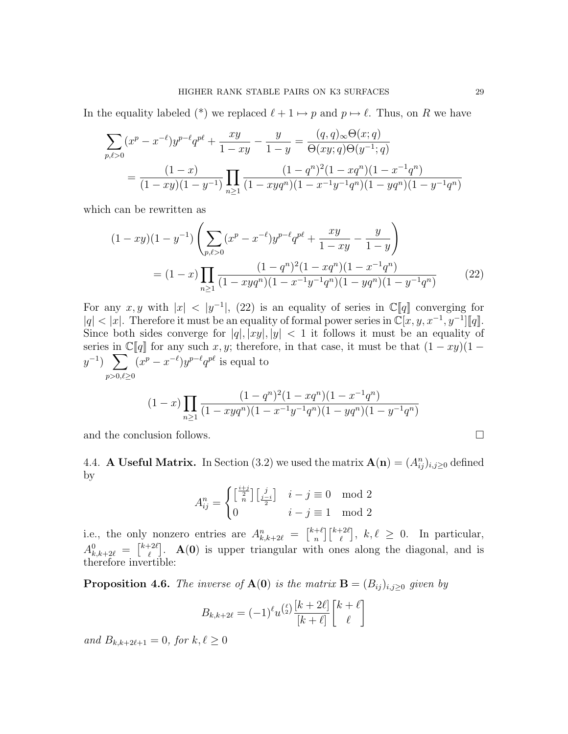In the equality labeled (\*) we replaced  $\ell + 1 \mapsto p$  and  $p \mapsto \ell$ . Thus, on R we have

$$
\sum_{p,\ell>0} (x^p - x^{-\ell}) y^{p-\ell} q^{p\ell} + \frac{xy}{1-xy} - \frac{y}{1-y} = \frac{(q,q)_{\infty} \Theta(x;q)}{\Theta(xy;q) \Theta(y^{-1};q)}
$$

$$
= \frac{(1-x)}{(1-xy)(1-y^{-1})} \prod_{n\geq 1} \frac{(1-q^n)^2 (1-xq^n)(1-x^{-1}q^n)}{(1-xyq^n)(1-x^{-1}y^{-1}q^n)(1-yq^n)(1-y^{-1}q^n)}
$$

which can be rewritten as

$$
(1 - xy)(1 - y^{-1}) \left( \sum_{p,\ell>0} (x^p - x^{-\ell}) y^{p-\ell} q^{p\ell} + \frac{xy}{1 - xy} - \frac{y}{1 - y} \right)
$$
  
= 
$$
(1 - x) \prod_{n \ge 1} \frac{(1 - q^n)^2 (1 - xq^n)(1 - x^{-1}q^n)}{(1 - xyq^n)(1 - x^{-1}y^{-1}q^n)(1 - yq^n)(1 - y^{-1}q^n)}
$$
(22)

For any  $x, y$  with  $|x| < |y^{-1}|$ , (22) is an equality of series in  $\mathbb{C}[q]$  converging for  $|q| < |x|$ . Therefore it must be an equality of formal power series in  $\mathbb{C}[x, y, x^{-1}, y^{-1}][q]$ . Since both sides converge for  $|q|, |xy|, |y| < 1$  it follows it must be an equality of series in  $\mathbb{C}[q]$  for any such x, y; therefore, in that case, it must be that  $(1 - xy)(1$  $y^{-1}$ )  $\sum$  $p > 0, l \geq 0$  $(x^p - x^{-\ell})y^{p-\ell}q^{p\ell}$  is equal to

$$
(1-x)\prod_{n\geq 1}\frac{(1-q^n)^2(1-xq^n)(1-x^{-1}q^n)}{(1-xyq^n)(1-x^{-1}y^{-1}q^n)(1-yq^n)(1-y^{-1}q^n)}
$$

and the conclusion follows.  $\Box$ 

4.4. **A Useful Matrix.** In Section (3.2) we used the matrix  $\mathbf{A}(\mathbf{n}) = (A_{ij}^n)_{i,j\geq0}$  defined by

$$
A_{ij}^n = \begin{cases} \left[\frac{i+j}{2}\right] \left[\frac{j}{2-i}\right] & i-j \equiv 0 \mod 2\\ 0 & i-j \equiv 1 \mod 2 \end{cases}
$$

i.e., the only nonzero entries are  $A_{k,k+2\ell}^n = \begin{bmatrix} k+\ell \\ n \end{bmatrix}$  $\binom{k+2\ell}{n}$  $\ell^{2\ell}, k, \ell \geq 0$ . In particular,  $A^0_{k,k+2\ell} = \begin{bmatrix} k+2\ell \\ \ell \end{bmatrix}$  $\mathbf{A}(\mathbf{0})$  is upper triangular with ones along the diagonal, and is therefore invertible:

**Proposition 4.6.** The inverse of  $\mathbf{A}(\mathbf{0})$  is the matrix  $\mathbf{B} = (B_{ij})_{i,j \geq 0}$  given by

$$
B_{k,k+2\ell} = (-1)^{\ell} u^{\binom{\ell}{2}} \frac{[k+2\ell]}{[k+\ell]} \begin{bmatrix} k+\ell \\ \ell \end{bmatrix}
$$

and  $B_{k,k+2\ell+1} = 0$ , for  $k, \ell \ge 0$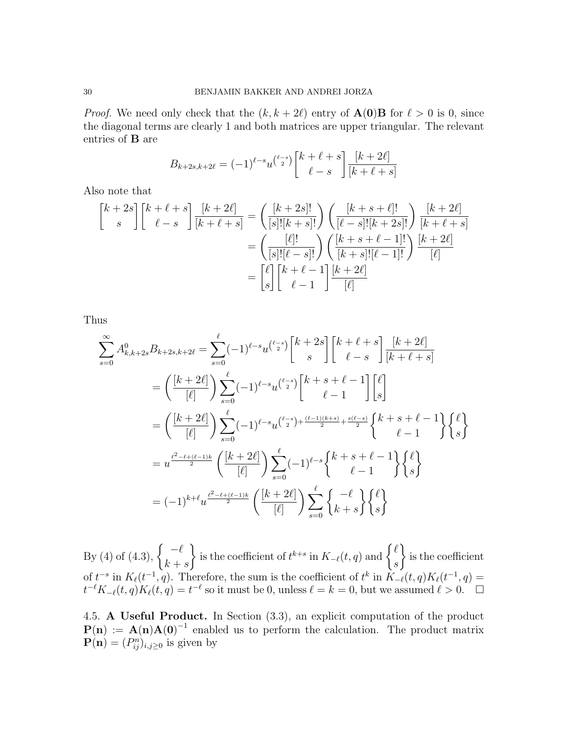*Proof.* We need only check that the  $(k, k + 2\ell)$  entry of  $\mathbf{A}(\mathbf{0})\mathbf{B}$  for  $\ell > 0$  is 0, since the diagonal terms are clearly 1 and both matrices are upper triangular. The relevant entries of B are

$$
B_{k+2s,k+2\ell} = (-1)^{\ell-s} u^{\binom{\ell-s}{2}} \binom{k+\ell+s}{\ell-s} \frac{[k+2\ell]}{[k+\ell+s]}
$$

Also note that

$$
\begin{aligned}\n\begin{bmatrix}\nk+2s \\
s\n\end{bmatrix}\n\begin{bmatrix}\nk+\ell+s \\
\ell-s\n\end{bmatrix}\n\frac{[k+2\ell]}{[k+\ell+s]} &= \left(\frac{[k+2s]!}{[s]![k+s]!}\right) \left(\frac{[k+s+\ell]!}{[\ell-s]![k+2s]!}\right) \frac{[k+2\ell]}{[k+\ell+s]} \\
&= \left(\frac{[\ell]!}{[s]![\ell-s]!}\right) \left(\frac{[k+s+\ell-1]!}{[k+s]![\ell-1]!}\right) \frac{[k+2\ell]}{[\ell]} \\
&= \begin{bmatrix}\n\ell \\
s\n\end{bmatrix}\n\begin{bmatrix}\nk+\ell-1 \\
\ell-1\n\end{bmatrix}\n\frac{[k+2\ell]}{[\ell]}\n\end{aligned}
$$

Thus

$$
\sum_{s=0}^{\infty} A_{k,k+2s}^{0} B_{k+2s,k+2\ell} = \sum_{s=0}^{\ell} (-1)^{\ell-s} u^{\binom{\ell-s}{2}} \begin{bmatrix} k+2s \\ s \end{bmatrix} \begin{bmatrix} k+\ell+s \\ \ell-s \end{bmatrix} \frac{[k+2\ell]}{[k+\ell+s]} \n= \left( \frac{[k+2\ell]}{[\ell]} \right) \sum_{s=0}^{\ell} (-1)^{\ell-s} u^{\binom{\ell-s}{2}} \begin{bmatrix} k+s+\ell-1 \\ \ell-1 \end{bmatrix} \begin{bmatrix} \ell \\ s \end{bmatrix} \n= \left( \frac{[k+2\ell]}{[\ell]} \right) \sum_{s=0}^{\ell} (-1)^{\ell-s} u^{\binom{\ell-s}{2} + \frac{(\ell-1)(k+s)}{2} + \frac{s(\ell-s)}{2}} \begin{Bmatrix} k+s+\ell-1 \\ \ell-1 \end{Bmatrix} \begin{Bmatrix} \ell \\ s \end{Bmatrix} \n= u^{\frac{\ell^2-\ell+(\ell-1)k}{2}} \left( \frac{[k+2\ell]}{[\ell]} \right) \sum_{s=0}^{\ell} (-1)^{\ell-s} \begin{Bmatrix} k+s+\ell-1 \\ \ell-1 \end{Bmatrix} \begin{Bmatrix} \ell \\ s \end{Bmatrix} \n= (-1)^{k+\ell} u^{\frac{\ell^2-\ell+(\ell-1)k}{2}} \left( \frac{[k+2\ell]}{[\ell]} \right) \sum_{s=0}^{\ell} \begin{Bmatrix} -\ell \\ k+s \end{Bmatrix} \begin{Bmatrix} \ell \\ s \end{Bmatrix}
$$

By (4) of (4.3),  $\left\{ \frac{-\ell}{\ell} \right\}$  $k + s$  $\mathcal{L}$ is the coefficient of  $t^{k+s}$  in  $K_{-\ell}(t, q)$  and  $\begin{cases} \ell \\ 0 \end{cases}$ s  $\mathcal{L}$ is the coefficient of  $t^{-s}$  in  $K_{\ell}(t^{-1}, q)$ . Therefore, the sum is the coefficient of  $t^{k}$  in  $K_{-\ell}(t, q)K_{\ell}(t^{-1}, q)$  $t^{-\ell}K_{-\ell}(t,q)K_{\ell}(t,q) = t^{-\ell}$  so it must be 0, unless  $\ell = k = 0$ , but we assumed  $\ell > 0$ .

4.5. A Useful Product. In Section (3.3), an explicit computation of the product  $P(n) := A(n)A(0)^{-1}$  enabled us to perform the calculation. The product matrix  $\mathbf{P}(\mathbf{n}) = (P_{ij}^n)_{i,j \geq 0}$  is given by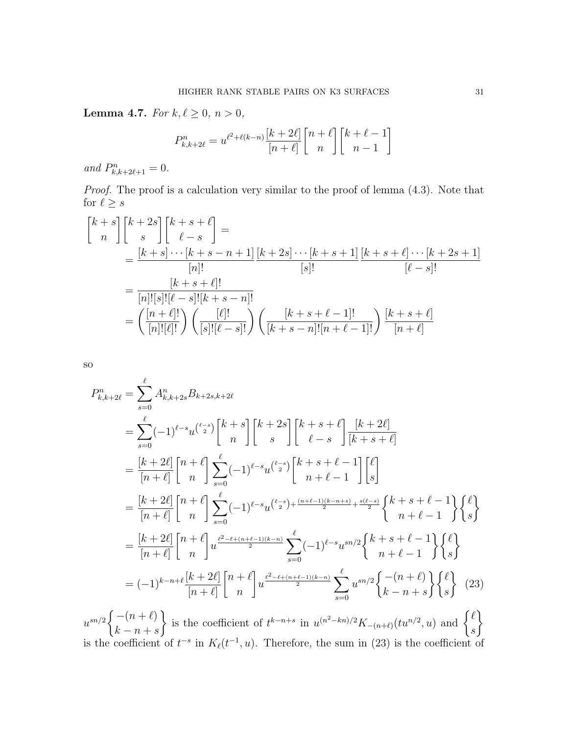**Lemma 4.7.** For  $k, \ell \ge 0, n > 0$ ,

$$
P_{k,k+2\ell}^n = u^{\ell^2 + \ell(k-n)} \frac{[k+2\ell]}{[n+\ell]} \binom{n+\ell}{n} \binom{k+\ell-1}{n-1}
$$

and  $P_{k,k+2\ell+1}^n = 0$ .

Proof. The proof is a calculation very similar to the proof of lemma  $(4.3)$ . Note that for  $\ell \geq s$ 

$$
\begin{aligned}\n\begin{bmatrix} k+s \\ n \end{bmatrix} & \begin{bmatrix} k+2s \\ s \end{bmatrix} \begin{bmatrix} k+s+\ell \\ \ell-s \end{bmatrix} = \\
& = \frac{[k+s]\cdots[k+s-n+1]}{[n]!} \frac{[k+2s]\cdots[k+s+1]}{[s]!} \frac{[k+s+\ell]\cdots[k+2s+1]}{[\ell-s]!} \\
& = \frac{[k+s+\ell]!}{[n]![s]![\ell-s]![k+s-n]!} \\
& = \left(\frac{[n+\ell]!}{[n]![\ell]!}\right) \left(\frac{[\ell]!}{[s]![\ell-s]!}\right) \left(\frac{[k+s+\ell-1]!}{[k+s-n]![n+\ell-1]!}\right) \frac{[k+s+\ell]}{[n+\ell]}\n\end{aligned}
$$

so

$$
P_{k,k+2\ell}^{n} = \sum_{s=0}^{\ell} A_{k,k+2s}^{n} B_{k+2s,k+2\ell}
$$
  
\n
$$
= \sum_{s=0}^{\ell} (-1)^{\ell-s} u^{\binom{\ell-s}{2}} \begin{bmatrix} k+s \\ n \end{bmatrix} \begin{bmatrix} k+2s \\ s \end{bmatrix} \begin{bmatrix} k+s+\ell \\ \ell-s \end{bmatrix} \frac{[k+2\ell]}{[k+s+\ell]}
$$
  
\n
$$
= \frac{[k+2\ell]}{[n+\ell]} \begin{bmatrix} n+\ell \\ n \end{bmatrix} \sum_{s=0}^{\ell} (-1)^{\ell-s} u^{\binom{\ell-s}{2}} \begin{bmatrix} k+s+\ell-1 \\ n+\ell-1 \end{bmatrix} \begin{bmatrix} \ell \\ s \end{bmatrix}
$$
  
\n
$$
= \frac{[k+2\ell]}{[n+\ell]} \begin{bmatrix} n+\ell \\ n \end{bmatrix} \sum_{s=0}^{\ell} (-1)^{\ell-s} u^{\binom{\ell-s}{2} + \frac{(n+\ell-1)(k-n+s)}{2} + \frac{s(\ell-s)}{2}} \begin{Bmatrix} k+s+\ell-1 \\ n+\ell-1 \end{Bmatrix} \begin{Bmatrix} \ell \\ s \end{Bmatrix}
$$
  
\n
$$
= \frac{[k+2\ell]}{[n+\ell]} \begin{bmatrix} n+\ell \\ n \end{bmatrix} u^{\frac{\ell^2-\ell+(n+\ell-1)(k-n)}{2}} \sum_{s=0}^{\ell} (-1)^{\ell-s} u^{sn/2} \begin{Bmatrix} k+s+\ell-1 \\ n+\ell-1 \end{Bmatrix} \begin{Bmatrix} \ell \\ s \end{Bmatrix}
$$
  
\n
$$
= (-1)^{k-n+\ell} \frac{[k+2\ell]}{[n+\ell]} \begin{bmatrix} n+\ell \\ n \end{bmatrix} u^{\frac{\ell^2-\ell+(n+\ell-1)(k-n)}{2}} \sum_{s=0}^{\ell} u^{sn/2} \begin{Bmatrix} -(n+\ell) \\ k-n+s \end{Bmatrix} \begin{Bmatrix} \ell \\ s \end{Bmatrix}
$$
 (23)

 $u^{sn/2}\bigg\{\frac{-(n+\ell)}{n}$  $k - n + s$  $\mathcal{L}$ is the coefficient of  $t^{k-n+s}$  in  $u^{(n^2-kn)/2}K_{-(n+\ell)}(tu^{n/2}, u)$  and  $\begin{cases} \ell \\ 0 \end{cases}$ s  $\mathcal{L}$ is the coefficient of  $t^{-s}$  in  $K_{\ell}(t^{-1}, u)$ . Therefore, the sum in (23) is the coefficient of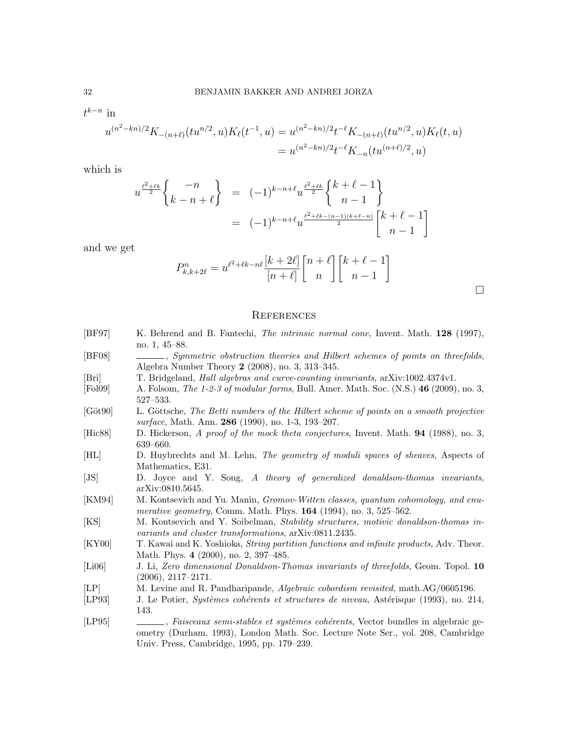$t^{k-n}$  in

$$
u^{(n^{2}-kn)/2}K_{-(n+\ell)}(tu^{n/2},u)K_{\ell}(t^{-1},u) = u^{(n^{2}-kn)/2}t^{-\ell}K_{-(n+\ell)}(tu^{n/2},u)K_{\ell}(t,u)
$$
  
= 
$$
u^{(n^{2}-kn)/2}t^{-\ell}K_{-n}(tu^{(n+\ell)/2},u)
$$

which is

$$
u^{\frac{\ell^2+\ell k}{2}} \begin{Bmatrix} -n \\ k-n+\ell \end{Bmatrix} = (-1)^{k-n+\ell} u^{\frac{\ell^2+\ell k}{2}} \begin{Bmatrix} k+\ell-1 \\ n-1 \end{Bmatrix}
$$
  
=  $(-1)^{k-n+\ell} u^{\frac{\ell^2+\ell k-(n-1)(k+\ell-n)}{2}} \begin{bmatrix} k+\ell-1 \\ n-1 \end{bmatrix}$ 

and we get

$$
P_{k,k+2\ell}^n = u^{\ell^2 + \ell k - n\ell} \frac{[k+2\ell]}{[n+\ell]} \binom{n+\ell}{n} \binom{k+\ell-1}{n-1}
$$

 $\Box$ 

# **REFERENCES**

| [BF97]                     | K. Behrend and B. Fantechi, <i>The intrinsic normal cone</i> , Invent. Math. 128 (1997),                                                                                                                       |
|----------------------------|----------------------------------------------------------------------------------------------------------------------------------------------------------------------------------------------------------------|
|                            | no. $1, 45-88$ .                                                                                                                                                                                               |
| [BF08]                     | Symmetric obstruction theories and Hilbert schemes of points on threefolds,<br>Algebra Number Theory $2$ (2008), no. 3, 313-345.                                                                               |
| [Bri]                      | T. Bridgeland, <i>Hall algebras and curve-counting invariants</i> , arXiv:1002.4374v1.                                                                                                                         |
| [Pol09]                    | A. Folsom, The 1-2-3 of modular forms, Bull. Amer. Math. Soc. (N.S.) 46 (2009), no. 3,<br>$527 - 533.$                                                                                                         |
| $[G\ddot{o}t90]$           | L. Göttsche, The Betti numbers of the Hilbert scheme of points on a smooth projective<br>surface, Math. Ann. 286 (1990), no. 1-3, 193-207.                                                                     |
| $[{\rm Hic}88]$            | D. Hickerson, A proof of the mock theta conjectures, Invent. Math. 94 (1988), no. 3,<br>$639 - 660.$                                                                                                           |
| [HL]                       | D. Huybrechts and M. Lehn, The geometry of moduli spaces of sheaves, Aspects of<br>Mathematics, E31.                                                                                                           |
| $\left[ \text{JS} \right]$ | D. Joyce and Y. Song, A theory of generalized donaldson-thomas invariants,<br>arXiv:0810.5645.                                                                                                                 |
| [KM94]                     | M. Kontsevich and Yu. Manin, Gromov-Witten classes, quantum cohomology, and enu-<br><i>merative geometry</i> , Comm. Math. Phys. $164$ (1994), no. 3, 525–562.                                                 |
| [KS]                       | M. Kontsevich and Y. Soibelman, Stability structures, motivic donaldson-thomas in-<br>variants and cluster transformations, arXiv:0811.2435.                                                                   |
| [KY00]                     | T. Kawai and K. Yoshioka, <i>String partition functions and infinite products</i> , Adv. Theor.<br>Math. Phys. 4 (2000), no. 2, 397-485.                                                                       |
| [Li06]                     | J. Li, Zero dimensional Donaldson-Thomas invariants of threefolds, Geom. Topol. 10<br>$(2006), 2117-2171.$                                                                                                     |
| [LP]                       | M. Levine and R. Pandharipande, <i>Algebraic cobordism revisited</i> , math.AG/0605196.                                                                                                                        |
| [LP93]                     | J. Le Potier, <i>Systèmes cohérents et structures de niveau</i> , Astérisque (1993), no. 214,<br>143.                                                                                                          |
| [LP95]                     | Faisceaux semi-stables et systèmes cohérents, Vector bundles in algebraic ge-<br>ometry (Durham, 1993), London Math. Soc. Lecture Note Ser., vol. 208, Cambridge<br>Univ. Press, Cambridge, 1995, pp. 179–239. |